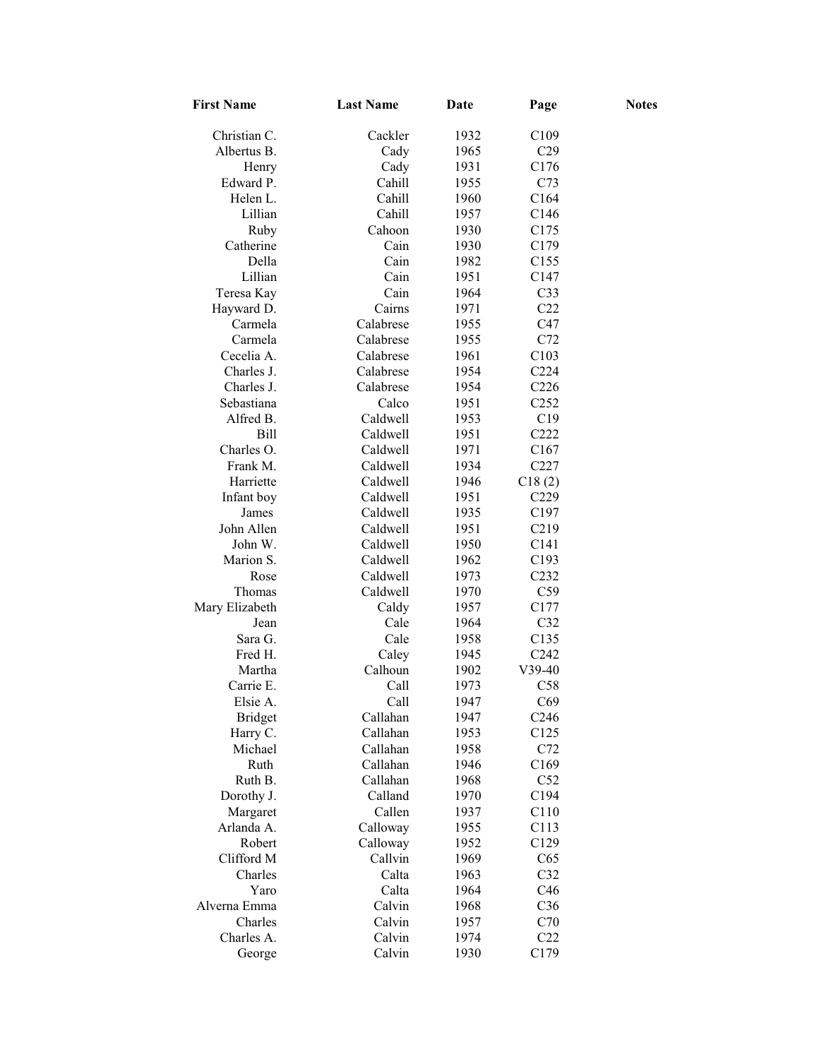| <b>First Name</b>    | <b>Last Name</b> | Date | Page              | <b>Notes</b> |
|----------------------|------------------|------|-------------------|--------------|
| Christian C.         | Cackler          | 1932 | C <sub>109</sub>  |              |
| Albertus B.          | Cady             | 1965 | C29               |              |
| Henry                | Cady             | 1931 | C176              |              |
| Edward P.            | Cahill           | 1955 | C73               |              |
| Helen L.             | Cahill           | 1960 | C164              |              |
| Lillian              | Cahill           | 1957 | C146              |              |
| Ruby                 | Cahoon           | 1930 | C175              |              |
| Catherine            | Cain             | 1930 | C179              |              |
| Della                | Cain             | 1982 | C155              |              |
| Lillian              | Cain             | 1951 | C147              |              |
| Teresa Kay           | Cain             | 1964 | C <sub>33</sub>   |              |
| Hayward D.           | Cairns           | 1971 | C22               |              |
| Carmela              | Calabrese        | 1955 | C47               |              |
| Carmela              | Calabrese        | 1955 | C72               |              |
| Cecelia A.           | Calabrese        | 1961 | C103              |              |
| Charles J.           | Calabrese        | 1954 | C <sub>224</sub>  |              |
| Charles J.           | Calabrese        | 1954 | C <sub>226</sub>  |              |
| Sebastiana           | Calco            | 1951 | C <sub>252</sub>  |              |
| Alfred B.            | Caldwell         | 1953 | C19               |              |
| Bill                 | Caldwell         | 1951 | C222              |              |
| Charles O.           | Caldwell         | 1971 | C167              |              |
| Frank M.             | Caldwell         | 1934 | C227              |              |
| Harriette            | Caldwell         | 1946 | C18(2)            |              |
| Infant boy           | Caldwell         | 1951 | C <sub>229</sub>  |              |
| James                | Caldwell         | 1935 | C <sub>197</sub>  |              |
| John Allen           | Caldwell         | 1951 | C <sub>2</sub> 19 |              |
| John W.              | Caldwell         | 1950 | C141              |              |
| Marion S.            | Caldwell         | 1962 | C193              |              |
| Rose                 | Caldwell         | 1973 | C <sub>232</sub>  |              |
| Thomas               | Caldwell         | 1970 | C59               |              |
| Mary Elizabeth       | Caldy            | 1957 | C177              |              |
| Jean                 | Cale             | 1964 | C32               |              |
| Sara G.              | Cale             | 1958 | C135              |              |
| Fred H.              | Caley            | 1945 | C <sub>242</sub>  |              |
| Martha               | Calhoun          | 1902 | $V39-40$          |              |
| Carrie E.            | Call             | 1973 | C58               |              |
| Elsie A.             | Call             | 1947 | C69               |              |
| <b>Bridget</b>       | Callahan         | 1947 | C <sub>246</sub>  |              |
| Harry C.             | Callahan         | 1953 | C <sub>125</sub>  |              |
| Michael              | Callahan         | 1958 | C72               |              |
| Ruth                 | Callahan         | 1946 | C169              |              |
| Ruth B.              | Callahan         | 1968 | C52               |              |
| Dorothy J.           | Calland          | 1970 | C194              |              |
| Margaret             | Callen           | 1937 | C110              |              |
| Arlanda A.           | Calloway         | 1955 | C113              |              |
| Robert               | Calloway         | 1952 | C129              |              |
| Clifford M           | Callvin          | 1969 | C65               |              |
| Charles              | Calta            | 1963 | C32               |              |
|                      |                  |      |                   |              |
| Yaro<br>Alverna Emma | Calta            | 1964 | C46               |              |
| Charles              | Calvin           | 1968 | C <sub>36</sub>   |              |
| Charles A.           | Calvin           | 1957 | C70               |              |
|                      | Calvin           | 1974 | C22               |              |
| George               | Calvin           | 1930 | C179              |              |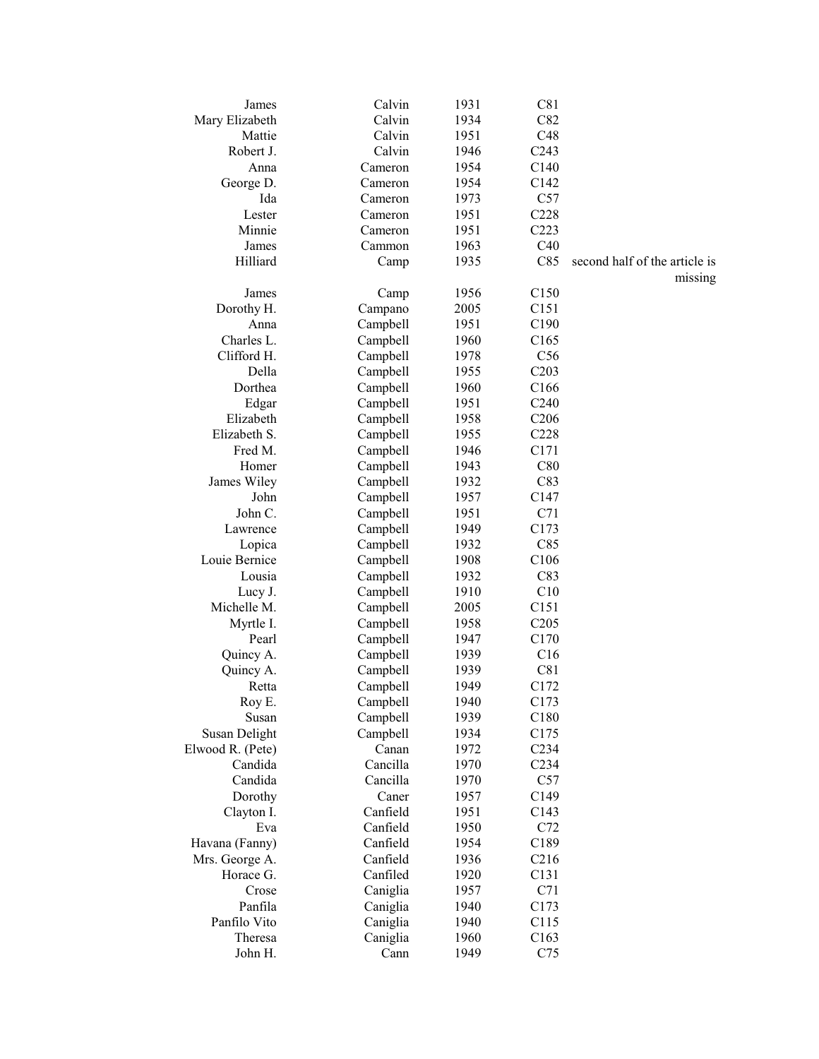| James            | Calvin   | 1931 | C81              |                               |
|------------------|----------|------|------------------|-------------------------------|
| Mary Elizabeth   | Calvin   | 1934 | C82              |                               |
| Mattie           | Calvin   | 1951 | C48              |                               |
| Robert J.        | Calvin   | 1946 | C <sub>243</sub> |                               |
| Anna             | Cameron  | 1954 | C <sub>140</sub> |                               |
| George D.        | Cameron  | 1954 | C <sub>142</sub> |                               |
| Ida              | Cameron  | 1973 | C57              |                               |
| Lester           | Cameron  | 1951 | C228             |                               |
| Minnie           | Cameron  | 1951 | C223             |                               |
| James            | Cammon   | 1963 | C40              |                               |
| Hilliard         | Camp     | 1935 | C85              | second half of the article is |
|                  |          |      |                  | missing                       |
| James            | Camp     | 1956 | C150             |                               |
| Dorothy H.       | Campano  | 2005 | C <sub>151</sub> |                               |
| Anna             | Campbell | 1951 | C <sub>190</sub> |                               |
| Charles L.       | Campbell | 1960 | C <sub>165</sub> |                               |
| Clifford H.      | Campbell | 1978 | C56              |                               |
| Della            | Campbell | 1955 | C203             |                               |
| Dorthea          | Campbell | 1960 | C <sub>166</sub> |                               |
| Edgar            | Campbell | 1951 | C <sub>240</sub> |                               |
| Elizabeth        | Campbell | 1958 | C <sub>206</sub> |                               |
| Elizabeth S.     | Campbell | 1955 | C228             |                               |
| Fred M.          | Campbell | 1946 | C <sub>171</sub> |                               |
| Homer            | Campbell | 1943 | C80              |                               |
|                  |          |      |                  |                               |
| James Wiley      | Campbell | 1932 | C83              |                               |
| John             | Campbell | 1957 | C <sub>147</sub> |                               |
| John C.          | Campbell | 1951 | C71              |                               |
| Lawrence         | Campbell | 1949 | C173             |                               |
| Lopica           | Campbell | 1932 | C85              |                               |
| Louie Bernice    | Campbell | 1908 | C106             |                               |
| Lousia           | Campbell | 1932 | C83              |                               |
| Lucy J.          | Campbell | 1910 | C10              |                               |
| Michelle M.      | Campbell | 2005 | C <sub>151</sub> |                               |
| Myrtle I.        | Campbell | 1958 | C205             |                               |
| Pearl            | Campbell | 1947 | C170             |                               |
| Quincy A.        | Campbell | 1939 | C16              |                               |
| Quincy A.        | Campbell | 1939 | C81              |                               |
| Retta            | Campbell | 1949 | C172             |                               |
| Roy E.           | Campbell | 1940 | C173             |                               |
| Susan            | Campbell | 1939 | C180             |                               |
| Susan Delight    | Campbell | 1934 | C175             |                               |
| Elwood R. (Pete) | Canan    | 1972 | C <sub>234</sub> |                               |
| Candida          | Cancilla | 1970 | C234             |                               |
| Candida          | Cancilla | 1970 | C57              |                               |
| Dorothy          | Caner    | 1957 | C149             |                               |
| Clayton I.       | Canfield | 1951 | C143             |                               |
| Eva              | Canfield | 1950 | C72              |                               |
| Havana (Fanny)   | Canfield | 1954 | C189             |                               |
| Mrs. George A.   | Canfield | 1936 | C216             |                               |
| Horace G.        | Canfiled | 1920 | C131             |                               |
| Crose            | Caniglia | 1957 | C71              |                               |
| Panfila          | Caniglia | 1940 | C173             |                               |
| Panfilo Vito     | Caniglia | 1940 | C115             |                               |
| Theresa          |          |      | C163             |                               |
|                  | Caniglia | 1960 |                  |                               |
| John H.          | Cann     | 1949 | C75              |                               |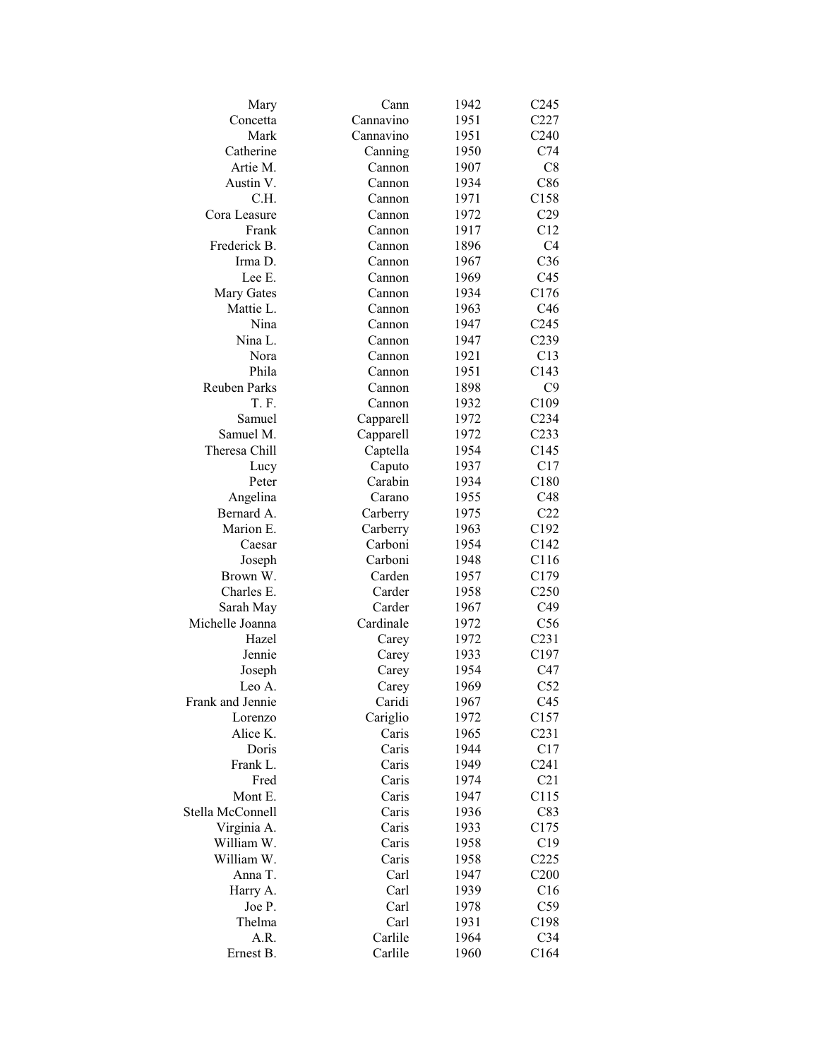| Mary                | Cann      | 1942 | C <sub>245</sub> |
|---------------------|-----------|------|------------------|
| Concetta            | Cannavino | 1951 | C227             |
| Mark                | Cannavino | 1951 | C <sub>240</sub> |
| Catherine           | Canning   | 1950 | C74              |
| Artie M.            | Cannon    | 1907 | C8               |
| Austin V.           | Cannon    | 1934 | C86              |
| C.H.                | Cannon    | 1971 | C158             |
| Cora Leasure        | Cannon    | 1972 | C29              |
| Frank               | Cannon    | 1917 | C12              |
| Frederick B.        | Cannon    | 1896 | C <sub>4</sub>   |
| Irma D.             | Cannon    | 1967 | C <sub>36</sub>  |
| Lee E.              | Cannon    | 1969 | C <sub>45</sub>  |
| Mary Gates          | Cannon    | 1934 | C <sub>176</sub> |
| Mattie L.           | Cannon    | 1963 | C46              |
| Nina                | Cannon    | 1947 | C <sub>245</sub> |
| Nina L.             | Cannon    | 1947 | C239             |
| Nora                | Cannon    | 1921 | C13              |
| Phila               | Cannon    | 1951 | C143             |
| <b>Reuben Parks</b> | Cannon    | 1898 | C9               |
| T.F.                | Cannon    | 1932 | C109             |
| Samuel              |           |      | C <sub>234</sub> |
| Samuel M.           | Capparell | 1972 |                  |
|                     | Capparell | 1972 | C <sub>233</sub> |
| Theresa Chill       | Captella  | 1954 | C145             |
| Lucy                | Caputo    | 1937 | C17              |
| Peter               | Carabin   | 1934 | C180             |
| Angelina            | Carano    | 1955 | C48              |
| Bernard A.          | Carberry  | 1975 | C22              |
| Marion E.           | Carberry  | 1963 | C192             |
| Caesar              | Carboni   | 1954 | C142             |
| Joseph              | Carboni   | 1948 | C116             |
| Brown W.            | Carden    | 1957 | C179             |
| Charles E.          | Carder    | 1958 | C <sub>250</sub> |
| Sarah May           | Carder    | 1967 | C49              |
| Michelle Joanna     | Cardinale | 1972 | C56              |
| Hazel               | Carey     | 1972 | C <sub>231</sub> |
| Jennie              | Carey     | 1933 | C197             |
| Joseph              | Carey     | 1954 | C47              |
| Leo A.              | Carey     | 1969 | C52              |
| Frank and Jennie    | Caridi    | 1967 | C45              |
| Lorenzo             | Cariglio  | 1972 | C157             |
| Alice K.            | Caris     | 1965 | C <sub>231</sub> |
| Doris               | Caris     | 1944 | C17              |
| Frank L.            | Caris     | 1949 | C <sub>241</sub> |
| Fred                | Caris     | 1974 | C21              |
| Mont E.             | Caris     | 1947 | C115             |
| Stella McConnell    | Caris     | 1936 | C83              |
| Virginia A.         | Caris     | 1933 | C175             |
| William W.          | Caris     | 1958 | C19              |
| William W.          | Caris     | 1958 | C225             |
| Anna T.             | Carl      | 1947 | C200             |
| Harry A.            | Carl      | 1939 | C16              |
| Joe P.              | Carl      | 1978 | C <sub>59</sub>  |
| Thelma              | Carl      | 1931 | C198             |
| A.R.                | Carlile   | 1964 | C <sub>34</sub>  |
| Ernest B.           | Carlile   | 1960 | C164             |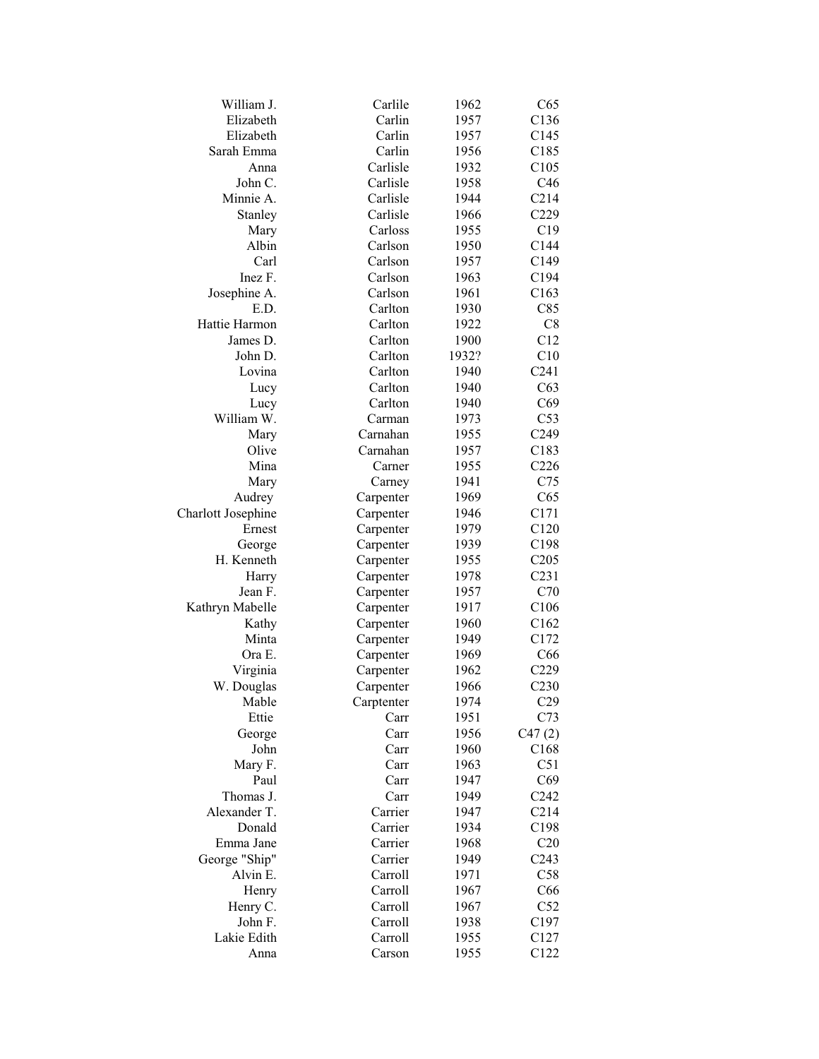| William J.         | Carlile    | 1962  | C65              |
|--------------------|------------|-------|------------------|
| Elizabeth          | Carlin     | 1957  | C <sub>136</sub> |
| Elizabeth          | Carlin     | 1957  | C <sub>145</sub> |
| Sarah Emma         | Carlin     | 1956  | C185             |
| Anna               | Carlisle   | 1932  | C <sub>105</sub> |
| John C.            | Carlisle   | 1958  | C46              |
| Minnie A.          | Carlisle   | 1944  | C214             |
| Stanley            | Carlisle   | 1966  | C <sub>229</sub> |
| Mary               | Carloss    | 1955  | C19              |
| Albin              | Carlson    | 1950  | C144             |
| Carl               | Carlson    | 1957  | C149             |
| Inez F.            | Carlson    | 1963  | C <sub>194</sub> |
| Josephine A.       | Carlson    | 1961  | C163             |
| E.D.               | Carlton    | 1930  | C85              |
| Hattie Harmon      | Carlton    | 1922  | C8               |
| James D.           | Carlton    | 1900  | C12              |
| John D.            | Carlton    | 1932? | C10              |
| Lovina             | Carlton    | 1940  | C <sub>241</sub> |
| Lucy               | Carlton    | 1940  | C63              |
| Lucy               | Carlton    | 1940  | C69              |
| William W.         | Carman     | 1973  | C53              |
| Mary               | Carnahan   | 1955  | C <sub>249</sub> |
| Olive              | Carnahan   | 1957  | C <sub>183</sub> |
| Mina               | Carner     | 1955  | C <sub>226</sub> |
| Mary               | Carney     | 1941  | C75              |
| Audrey             | Carpenter  | 1969  | C65              |
| Charlott Josephine | Carpenter  | 1946  | C171             |
| Ernest             | Carpenter  | 1979  | C120             |
| George             | Carpenter  | 1939  | C <sub>198</sub> |
| H. Kenneth         | Carpenter  | 1955  | C205             |
| Harry              | Carpenter  | 1978  | C <sub>231</sub> |
| Jean F.            | Carpenter  | 1957  | C70              |
| Kathryn Mabelle    | Carpenter  | 1917  | C106             |
| Kathy              | Carpenter  | 1960  | C162             |
| Minta              | Carpenter  | 1949  | C172             |
| Ora E.             | Carpenter  | 1969  | C <sub>66</sub>  |
| Virginia           | Carpenter  | 1962  | C229             |
| W. Douglas         | Carpenter  | 1966  | C <sub>230</sub> |
| Mable              | Carptenter | 1974  | C29              |
| Ettie              | Carr       | 1951  | C73              |
| George             | Carr       | 1956  | C47(2)           |
| John               | Carr       | 1960  | C168             |
| Mary F.            | Carr       | 1963  | C51              |
| Paul               | Carr       | 1947  | C69              |
| Thomas J.          | Carr       | 1949  | C <sub>242</sub> |
| Alexander T.       | Carrier    | 1947  | C214             |
| Donald             | Carrier    | 1934  | C198             |
| Emma Jane          | Carrier    | 1968  | C20              |
| George "Ship"      | Carrier    | 1949  | C <sub>243</sub> |
| Alvin E.           | Carroll    | 1971  | C58              |
| Henry              | Carroll    | 1967  | C66              |
| Henry C.           | Carroll    | 1967  | C52              |
| John F.            | Carroll    | 1938  | C197             |
| Lakie Edith        | Carroll    | 1955  | C127             |
| Anna               | Carson     | 1955  | C122             |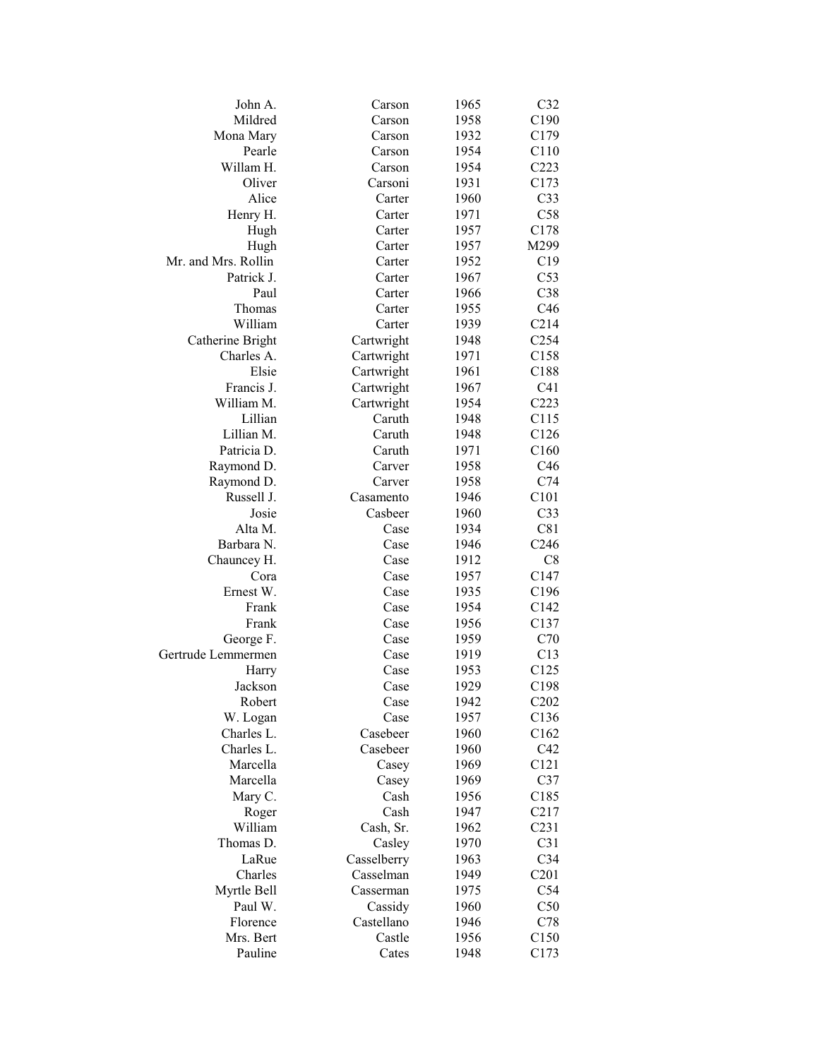| John A.                  | Carson      | 1965 | C32                           |
|--------------------------|-------------|------|-------------------------------|
| Mildred                  | Carson      | 1958 | C190                          |
| Mona Mary                | Carson      | 1932 | C179                          |
| Pearle                   | Carson      | 1954 | C110                          |
| Willam H.                | Carson      | 1954 | C <sub>223</sub>              |
| Oliver                   | Carsoni     | 1931 | C173                          |
| Alice                    | Carter      | 1960 | C <sub>33</sub>               |
| Henry H.                 | Carter      | 1971 | C58                           |
| Hugh                     | Carter      | 1957 | C178                          |
| Hugh                     | Carter      | 1957 | M299                          |
| Mr. and Mrs. Rollin      | Carter      | 1952 | C19                           |
| Patrick J.               | Carter      | 1967 | C53                           |
| Paul                     | Carter      | 1966 | C38                           |
| Thomas                   | Carter      | 1955 | C46                           |
| William                  | Carter      | 1939 | C214                          |
| Catherine Bright         | Cartwright  | 1948 | C <sub>254</sub>              |
| Charles A.               | Cartwright  | 1971 | C158                          |
| Elsie                    | Cartwright  | 1961 | C188                          |
| Francis J.               | Cartwright  | 1967 | C41                           |
| William M.               | Cartwright  | 1954 | C223                          |
| Lillian                  | Caruth      | 1948 | C115                          |
| Lillian M.               | Caruth      | 1948 | C126                          |
| Patricia D.              | Caruth      | 1971 | C160                          |
|                          | Carver      | 1958 | C <sub>46</sub>               |
| Raymond D.               | Carver      | 1958 | C74                           |
| Raymond D.<br>Russell J. | Casamento   | 1946 | C101                          |
|                          |             |      | C33                           |
| Josie                    | Casbeer     | 1960 |                               |
| Alta M.                  | Case        | 1934 | C81                           |
| Barbara N.               | Case        | 1946 | C <sub>246</sub><br>C8        |
| Chauncey H.              | Case        | 1912 |                               |
| Cora                     | Case        | 1957 | C147                          |
| Ernest W.                | Case        | 1935 | C196                          |
| Frank                    | Case        | 1954 | C142                          |
| Frank                    | Case        | 1956 | C137                          |
| George F.                | Case        | 1959 | C70                           |
| Gertrude Lemmermen       | Case        | 1919 | C13                           |
| Harry                    | Case        | 1953 | C125                          |
| Jackson                  | Case        | 1929 | C198                          |
| Robert                   | Case        | 1942 | C <sub>2</sub> 0 <sub>2</sub> |
| W. Logan                 | Case        | 1957 | C136                          |
| Charles L.               | Casebeer    | 1960 | C162                          |
| Charles L.               | Casebeer    | 1960 | C42                           |
| Marcella                 | Casey       | 1969 | C <sub>121</sub>              |
| Marcella                 | Casey       | 1969 | C37                           |
| Mary C.                  | Cash        | 1956 | C185                          |
| Roger                    | Cash        | 1947 | C <sub>2</sub> 17             |
| William                  | Cash, Sr.   | 1962 | C <sub>231</sub>              |
| Thomas D.                | Casley      | 1970 | C31                           |
| LaRue                    | Casselberry | 1963 | C <sub>34</sub>               |
| Charles                  | Casselman   | 1949 | C201                          |
| Myrtle Bell              | Casserman   | 1975 | C54                           |
| Paul W.                  | Cassidy     | 1960 | C50                           |
| Florence                 | Castellano  | 1946 | C78                           |
| Mrs. Bert                | Castle      | 1956 | C <sub>150</sub>              |
| Pauline                  | Cates       | 1948 | C173                          |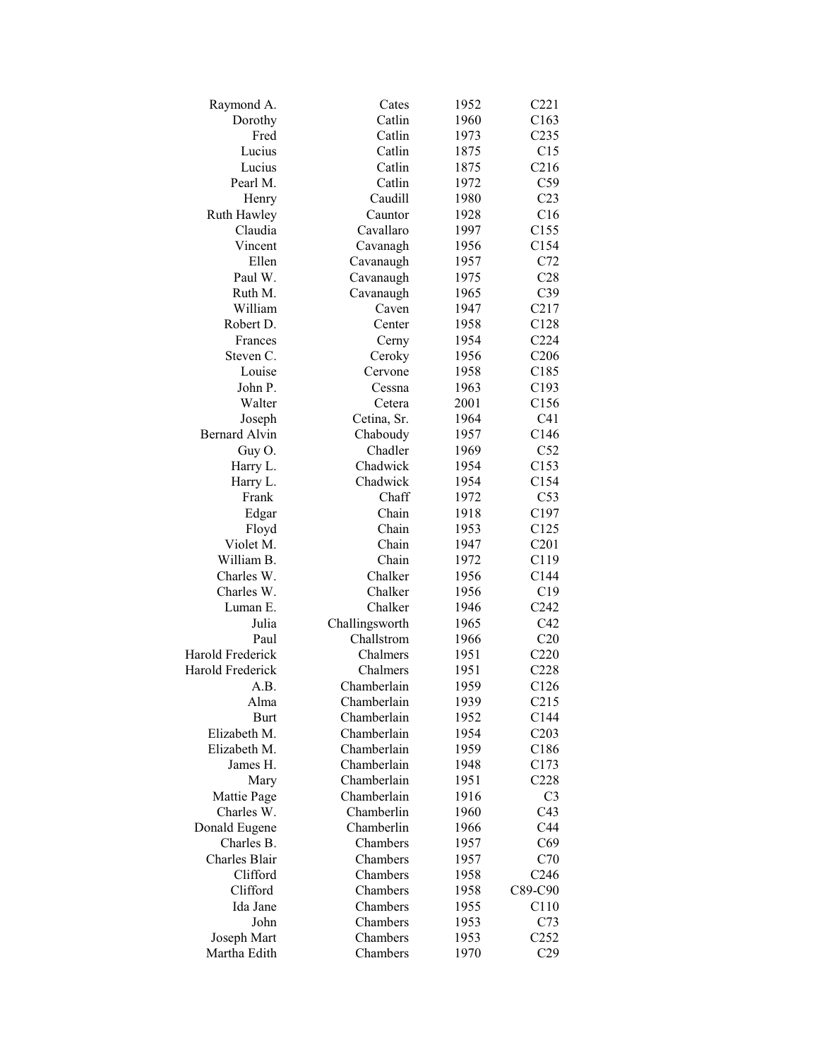| Raymond A.           | Cates          | 1952 | C221             |
|----------------------|----------------|------|------------------|
| Dorothy              | Catlin         | 1960 | C163             |
| Fred                 | Catlin         | 1973 | C <sub>235</sub> |
| Lucius               | Catlin         | 1875 | C15              |
| Lucius               | Catlin         | 1875 | C216             |
| Pearl M.             | Catlin         | 1972 | C59              |
| Henry                | Caudill        | 1980 | C <sub>23</sub>  |
| Ruth Hawley          | Cauntor        | 1928 | C16              |
| Claudia              | Cavallaro      | 1997 | C155             |
| Vincent              | Cavanagh       | 1956 | C154             |
| Ellen                | Cavanaugh      | 1957 | C72              |
| Paul W.              | Cavanaugh      | 1975 | C28              |
| Ruth M.              | Cavanaugh      | 1965 | C39              |
| William              | Caven          | 1947 | C217             |
| Robert D.            | Center         | 1958 | C128             |
| Frances              | Cerny          | 1954 | C <sub>224</sub> |
| Steven C.            | Ceroky         | 1956 | C <sub>206</sub> |
| Louise               | Cervone        | 1958 | C185             |
| John P.              | Cessna         | 1963 | C193             |
| Walter               | Cetera         | 2001 | C156             |
| Joseph               | Cetina, Sr.    | 1964 | C <sub>41</sub>  |
| <b>Bernard Alvin</b> | Chaboudy       | 1957 | C146             |
| Guy O.               | Chadler        | 1969 | C52              |
| Harry L.             | Chadwick       | 1954 | C153             |
| Harry L.             | Chadwick       | 1954 | C154             |
| Frank                | Chaff          | 1972 | C53              |
| Edgar                | Chain          | 1918 | C <sub>197</sub> |
| Floyd                | Chain          | 1953 | C125             |
| Violet M.            | Chain          | 1947 | C201             |
| William B.           | Chain          | 1972 | C119             |
| Charles W.           | Chalker        | 1956 | C144             |
| Charles W.           | Chalker        | 1956 | C19              |
| Luman E.             | Chalker        | 1946 | C <sub>242</sub> |
| Julia                | Challingsworth | 1965 | C42              |
| Paul                 | Challstrom     | 1966 | C20              |
| Harold Frederick     | Chalmers       | 1951 | C220             |
| Harold Frederick     | Chalmers       | 1951 | C228             |
| A.B.                 | Chamberlain    | 1959 | C126             |
| Alma                 | Chamberlain    | 1939 | C215             |
| <b>Burt</b>          | Chamberlain    | 1952 | C144             |
| Elizabeth M.         | Chamberlain    | 1954 | C203             |
| Elizabeth M.         | Chamberlain    | 1959 | C186             |
| James H.             | Chamberlain    | 1948 | C173             |
| Mary                 | Chamberlain    | 1951 | C228             |
| Mattie Page          | Chamberlain    | 1916 | C <sub>3</sub>   |
| Charles W.           | Chamberlin     | 1960 | C43              |
| Donald Eugene        | Chamberlin     | 1966 | C44              |
| Charles B.           | Chambers       | 1957 | C69              |
| Charles Blair        | Chambers       | 1957 | C70              |
| Clifford             | Chambers       | 1958 | C <sub>246</sub> |
| Clifford             | Chambers       | 1958 | C89-C90          |
| Ida Jane             | Chambers       | 1955 | C110             |
| John                 | Chambers       | 1953 | C73              |
| Joseph Mart          | Chambers       | 1953 | C <sub>252</sub> |
| Martha Edith         | Chambers       | 1970 | C29              |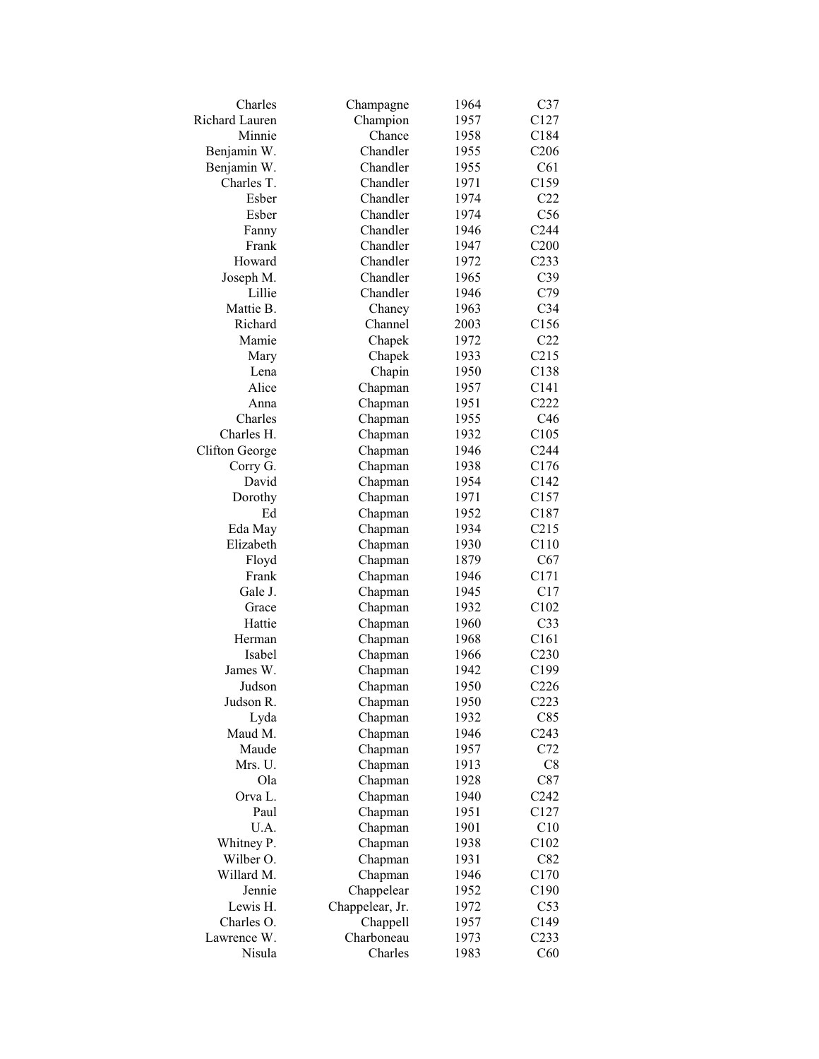| Charles        | Champagne       | 1964 | C37              |
|----------------|-----------------|------|------------------|
| Richard Lauren | Champion        | 1957 | C127             |
| Minnie         | Chance          | 1958 | C184             |
| Benjamin W.    | Chandler        | 1955 | C <sub>206</sub> |
| Benjamin W.    | Chandler        | 1955 | C61              |
| Charles T.     | Chandler        | 1971 | C159             |
| Esber          | Chandler        | 1974 | C22              |
| Esber          | Chandler        | 1974 | C56              |
| Fanny          | Chandler        | 1946 | C244             |
| Frank          | Chandler        | 1947 | C200             |
| Howard         | Chandler        | 1972 | C <sub>233</sub> |
| Joseph M.      | Chandler        | 1965 | C39              |
| Lillie         | Chandler        | 1946 | C79              |
| Mattie B.      | Chaney          | 1963 | C <sub>34</sub>  |
| Richard        | Channel         | 2003 | C156             |
| Mamie          | Chapek          | 1972 | C22              |
| Mary           | Chapek          | 1933 | C215             |
| Lena           | Chapin          | 1950 | C138             |
| Alice          | Chapman         | 1957 | C141             |
| Anna           | Chapman         | 1951 | C222             |
| Charles        | Chapman         | 1955 | C46              |
| Charles H.     | Chapman         | 1932 | C105             |
| Clifton George | Chapman         | 1946 | C <sub>244</sub> |
| Corry G.       |                 | 1938 | C176             |
| David          | Chapman         |      |                  |
|                | Chapman         | 1954 | C142             |
| Dorothy        | Chapman         | 1971 | C157             |
| Ed             | Chapman         | 1952 | C187             |
| Eda May        | Chapman         | 1934 | C215             |
| Elizabeth      | Chapman         | 1930 | C110             |
| Floyd          | Chapman         | 1879 | C67              |
| Frank          | Chapman         | 1946 | C171             |
| Gale J.        | Chapman         | 1945 | C17              |
| Grace          | Chapman         | 1932 | C102             |
| Hattie         | Chapman         | 1960 | C <sub>33</sub>  |
| Herman         | Chapman         | 1968 | C161             |
| Isabel         | Chapman         | 1966 | C <sub>230</sub> |
| James W.       | Chapman         | 1942 | C199             |
| Judson         | Chapman         | 1950 | C <sub>226</sub> |
| Judson R.      | Chapman         | 1950 | C223             |
| Lyda           | Chapman         | 1932 | C85              |
| Maud M.        | Chapman         | 1946 | C <sub>243</sub> |
| Maude          | Chapman         | 1957 | C72              |
| Mrs. U.        | Chapman         | 1913 | C8               |
| Ola            | Chapman         | 1928 | C87              |
| Orva L.        | Chapman         | 1940 | C <sub>242</sub> |
| Paul           | Chapman         | 1951 | C127             |
| U.A.           | Chapman         | 1901 | C10              |
| Whitney P.     | Chapman         | 1938 | C102             |
| Wilber O.      | Chapman         | 1931 | C82              |
| Willard M.     | Chapman         | 1946 | C170             |
| Jennie         | Chappelear      | 1952 | C190             |
| Lewis H.       | Chappelear, Jr. | 1972 | C53              |
| Charles O.     | Chappell        | 1957 | C149             |
| Lawrence W.    | Charboneau      | 1973 | C <sub>233</sub> |
| Nisula         | Charles         | 1983 | C60              |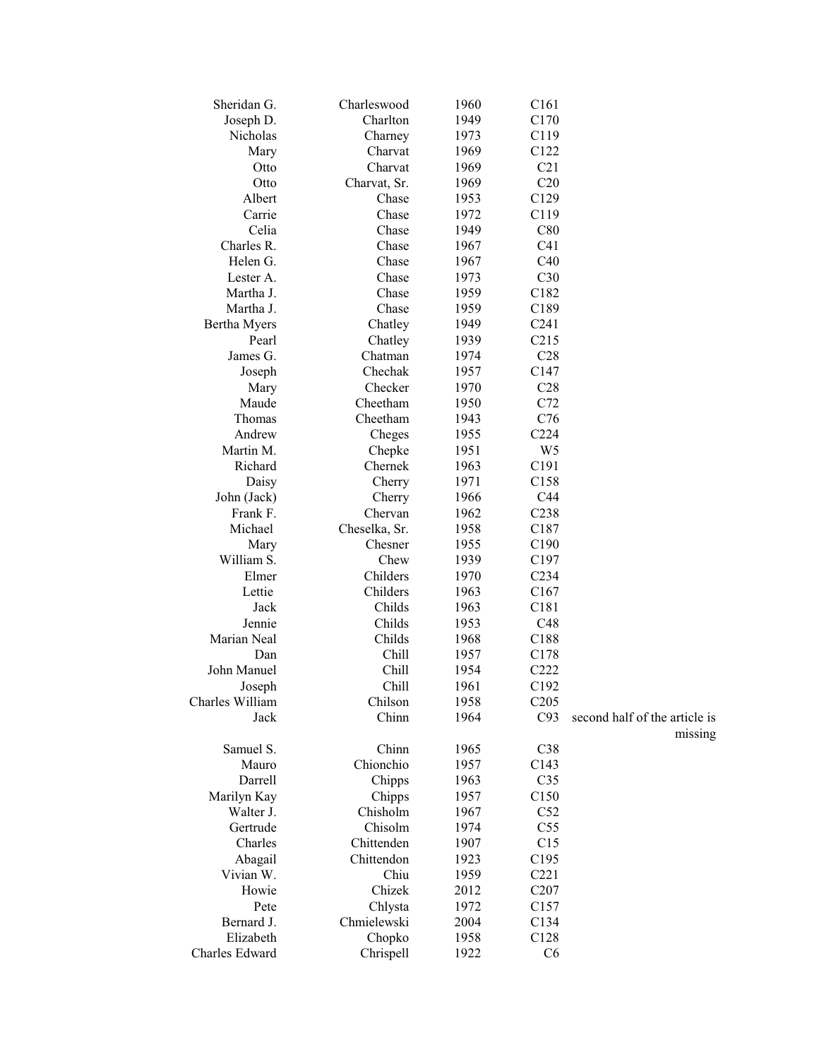| Sheridan G.     | Charleswood   | 1960 | C <sub>161</sub> |                                          |
|-----------------|---------------|------|------------------|------------------------------------------|
| Joseph D.       | Charlton      | 1949 | C170             |                                          |
| Nicholas        | Charney       | 1973 | C119             |                                          |
| Mary            | Charvat       | 1969 | C122             |                                          |
| Otto            | Charvat       | 1969 | C21              |                                          |
| Otto            | Charvat, Sr.  | 1969 | C20              |                                          |
| Albert          | Chase         | 1953 | C129             |                                          |
| Carrie          | Chase         | 1972 | C119             |                                          |
| Celia           | Chase         | 1949 | C80              |                                          |
| Charles R.      | Chase         | 1967 | C41              |                                          |
| Helen G.        | Chase         | 1967 | C40              |                                          |
| Lester A.       | Chase         | 1973 | C30              |                                          |
| Martha J.       | Chase         | 1959 | C182             |                                          |
| Martha J.       | Chase         | 1959 | C189             |                                          |
| Bertha Myers    | Chatley       | 1949 | C <sub>241</sub> |                                          |
| Pearl           | Chatley       | 1939 | C215             |                                          |
| James G.        | Chatman       | 1974 | C28              |                                          |
| Joseph          | Chechak       | 1957 | C147             |                                          |
| Mary            | Checker       | 1970 | C28              |                                          |
| Maude           | Cheetham      | 1950 | C72              |                                          |
| Thomas          | Cheetham      | 1943 | C76              |                                          |
| Andrew          | Cheges        | 1955 | C <sub>224</sub> |                                          |
| Martin M.       | Chepke        | 1951 | W <sub>5</sub>   |                                          |
| Richard         | Chernek       | 1963 | C191             |                                          |
| Daisy           | Cherry        | 1971 | C158             |                                          |
| John (Jack)     | Cherry        | 1966 | C44              |                                          |
| Frank F.        | Chervan       | 1962 | C238             |                                          |
| Michael         | Cheselka, Sr. | 1958 | C187             |                                          |
| Mary            | Chesner       | 1955 | C190             |                                          |
| William S.      | Chew          | 1939 | C197             |                                          |
| Elmer           | Childers      | 1970 | C <sub>234</sub> |                                          |
| Lettie          | Childers      | 1963 | C167             |                                          |
| Jack            | Childs        | 1963 | C181             |                                          |
| Jennie          | Childs        | 1953 | C48              |                                          |
| Marian Neal     | Childs        | 1968 | C188             |                                          |
| Dan             | Chill         | 1957 | C178             |                                          |
| John Manuel     | Chill         | 1954 | C222             |                                          |
| Joseph          | Chill         | 1961 | C192             |                                          |
| Charles William | Chilson       | 1958 | C205             |                                          |
| Jack            | Chinn         | 1964 | C93              | second half of the article is<br>missing |
| Samuel S.       | Chinn         | 1965 | C38              |                                          |
| Mauro           | Chionchio     | 1957 | C143             |                                          |
| Darrell         | Chipps        | 1963 | C <sub>35</sub>  |                                          |
| Marilyn Kay     | Chipps        | 1957 | C150             |                                          |
| Walter J.       | Chisholm      | 1967 | C52              |                                          |
| Gertrude        | Chisolm       | 1974 | C55              |                                          |
| Charles         | Chittenden    | 1907 | C15              |                                          |
| Abagail         | Chittendon    | 1923 | C195             |                                          |
| Vivian W.       | Chiu          | 1959 | C221             |                                          |
| Howie           | Chizek        | 2012 | C <sub>207</sub> |                                          |
| Pete            | Chlysta       | 1972 | C157             |                                          |
| Bernard J.      | Chmielewski   | 2004 | C134             |                                          |
| Elizabeth       | Chopko        | 1958 | C128             |                                          |
| Charles Edward  | Chrispell     | 1922 | C6               |                                          |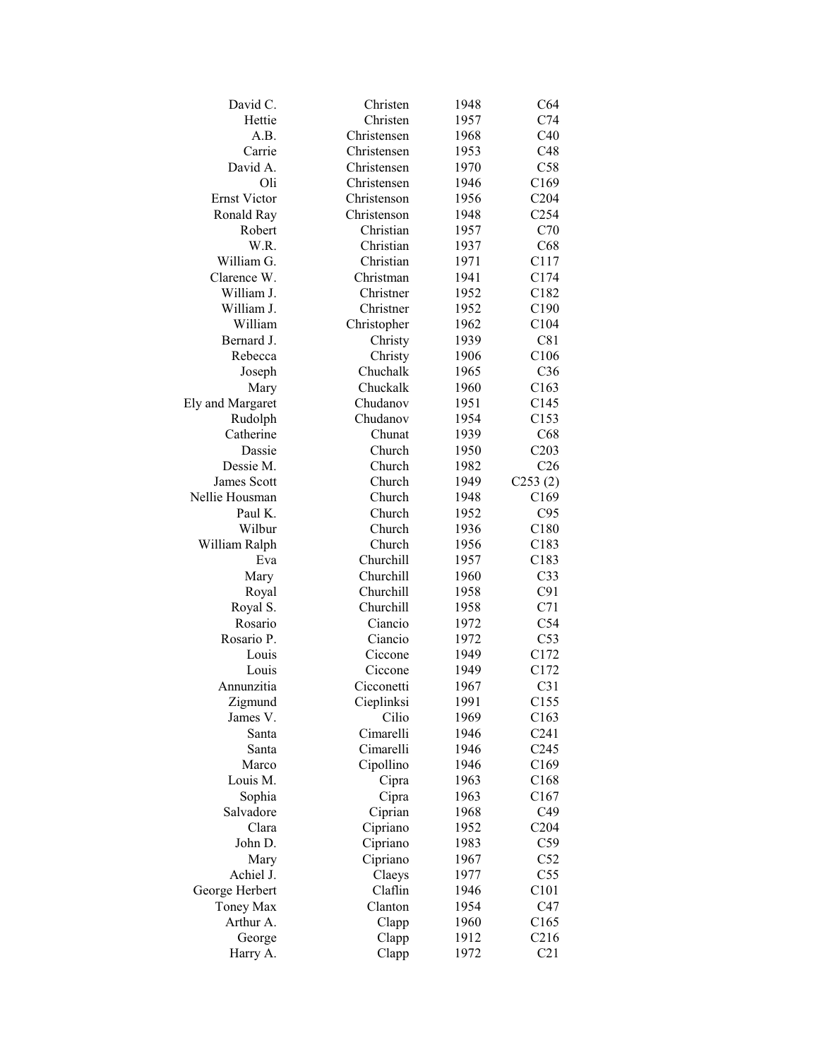| David C.            | Christen    | 1948         | C64                     |
|---------------------|-------------|--------------|-------------------------|
| Hettie              | Christen    | 1957         | C74                     |
| A.B.                | Christensen | 1968         | C40                     |
| Carrie              | Christensen | 1953         | C48                     |
| David A.            | Christensen | 1970         | C58                     |
| Oli                 | Christensen | 1946         | C169                    |
| <b>Ernst Victor</b> | Christenson | 1956         | C204                    |
| Ronald Ray          | Christenson | 1948         | C <sub>254</sub>        |
| Robert              | Christian   | 1957         | C70                     |
| W.R.                | Christian   | 1937         | C68                     |
| William G.          | Christian   | 1971         | C117                    |
| Clarence W.         | Christman   | 1941         | C174                    |
| William J.          | Christner   | 1952         | C182                    |
| William J.          | Christner   | 1952         | C190                    |
| William             | Christopher | 1962         | C104                    |
| Bernard J.          | Christy     | 1939         | C81                     |
| Rebecca             | Christy     | 1906         | C106                    |
| Joseph              | Chuchalk    | 1965         | C <sub>36</sub>         |
| Mary                | Chuckalk    | 1960         | C163                    |
| Ely and Margaret    | Chudanov    | 1951         | C145                    |
| Rudolph             | Chudanov    | 1954         | C153                    |
| Catherine           | Chunat      |              |                         |
| Dassie              | Church      | 1939<br>1950 | C68                     |
| Dessie M.           | Church      |              | C203<br>C <sub>26</sub> |
|                     |             | 1982         |                         |
| <b>James Scott</b>  | Church      | 1949         | C253(2)                 |
| Nellie Housman      | Church      | 1948         | C169                    |
| Paul K.             | Church      | 1952         | C95                     |
| Wilbur              | Church      | 1936         | C180                    |
| William Ralph       | Church      | 1956         | C183                    |
| Eva                 | Churchill   | 1957         | C183                    |
| Mary                | Churchill   | 1960         | C <sub>33</sub>         |
| Royal               | Churchill   | 1958         | C91                     |
| Royal S.            | Churchill   | 1958         | C71                     |
| Rosario             | Ciancio     | 1972         | C54                     |
| Rosario P.          | Ciancio     | 1972         | C53                     |
| Louis               | Ciccone     | 1949         | C172                    |
| Louis               | Ciccone     | 1949         | C172                    |
| Annunzitia          | Cicconetti  | 1967         | C <sub>31</sub>         |
| Zigmund             | Cieplinksi  | 1991         | C155                    |
| James V.            | Cilio       | 1969         | C163                    |
| Santa               | Cimarelli   | 1946         | C <sub>241</sub>        |
| Santa               | Cimarelli   | 1946         | C <sub>245</sub>        |
| Marco               | Cipollino   | 1946         | C169                    |
| Louis M.            | Cipra       | 1963         | C168                    |
| Sophia              | Cipra       | 1963         | C167                    |
| Salvadore           | Ciprian     | 1968         | C49                     |
| Clara               | Cipriano    | 1952         | C204                    |
| John D.             | Cipriano    | 1983         | C59                     |
| Mary                | Cipriano    | 1967         | C52                     |
| Achiel J.           | Claeys      | 1977         | C55                     |
| George Herbert      | Claflin     | 1946         | C101                    |
| Toney Max           | Clanton     | 1954         | C47                     |
| Arthur A.           | Clapp       | 1960         | C165                    |
| George              | Clapp       | 1912         | C216                    |
| Harry A.            | Clapp       | 1972         | C21                     |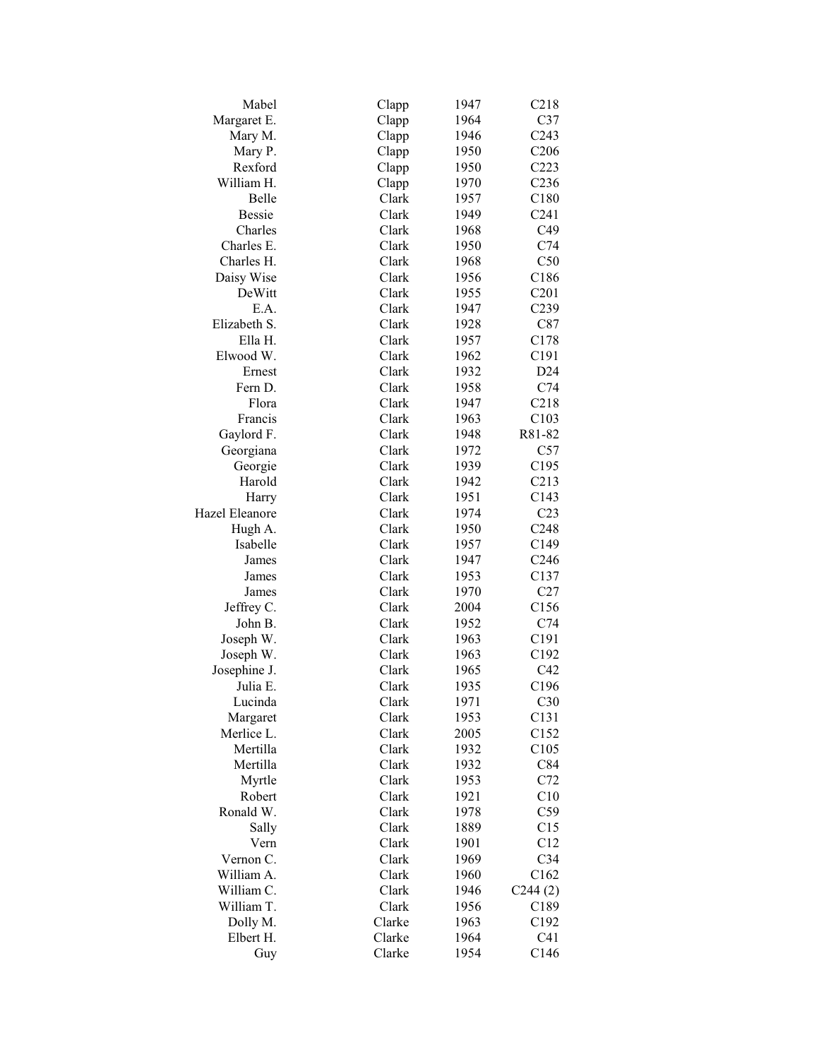| Mabel          | Clapp  | 1947 | C218             |
|----------------|--------|------|------------------|
| Margaret E.    | Clapp  | 1964 | C37              |
| Mary M.        | Clapp  | 1946 | C <sub>243</sub> |
| Mary P.        | Clapp  | 1950 | C <sub>206</sub> |
| Rexford        | Clapp  | 1950 | C223             |
| William H.     | Clapp  | 1970 | C <sub>236</sub> |
| Belle          | Clark  | 1957 | C180             |
| <b>Bessie</b>  | Clark  | 1949 | C <sub>241</sub> |
| Charles        | Clark  | 1968 | C49              |
| Charles E.     | Clark  | 1950 | C74              |
| Charles H.     | Clark  | 1968 | C50              |
| Daisy Wise     | Clark  | 1956 | C186             |
| DeWitt         | Clark  | 1955 | C201             |
| E.A.           | Clark  | 1947 | C239             |
| Elizabeth S.   | Clark  | 1928 | C87              |
| Ella H.        | Clark  | 1957 | C178             |
| Elwood W.      | Clark  | 1962 | C191             |
| Ernest         | Clark  | 1932 | D24              |
| Fern D.        | Clark  |      | C74              |
|                |        | 1958 |                  |
| Flora          | Clark  | 1947 | C218             |
| Francis        | Clark  | 1963 | C103             |
| Gaylord F.     | Clark  | 1948 | R81-82           |
| Georgiana      | Clark  | 1972 | C57              |
| Georgie        | Clark  | 1939 | C195             |
| Harold         | Clark  | 1942 | C213             |
| Harry          | Clark  | 1951 | C143             |
| Hazel Eleanore | Clark  | 1974 | C <sub>23</sub>  |
| Hugh A.        | Clark  | 1950 | C248             |
| Isabelle       | Clark  | 1957 | C149             |
| James          | Clark  | 1947 | C <sub>246</sub> |
| James          | Clark  | 1953 | C137             |
| James          | Clark  | 1970 | C27              |
| Jeffrey C.     | Clark  | 2004 | C156             |
| John B.        | Clark  | 1952 | C74              |
| Joseph W.      | Clark  | 1963 | C191             |
| Joseph W.      | Clark  | 1963 | C192             |
| Josephine J.   | Clark  | 1965 | C42              |
| Julia E.       | Clark  | 1935 | C196             |
| Lucinda        | Clark  | 1971 | C30              |
| Margaret       | Clark  | 1953 | C131             |
| Merlice L.     | Clark  | 2005 | C152             |
| Mertilla       | Clark  | 1932 | C105             |
| Mertilla       | Clark  | 1932 | C84              |
| Myrtle         | Clark  | 1953 | C72              |
| Robert         | Clark  | 1921 | C10              |
| Ronald W.      | Clark  | 1978 | C59              |
| Sally          | Clark  | 1889 | C15              |
| Vern           | Clark  | 1901 | C12              |
| Vernon C.      | Clark  | 1969 | C34              |
| William A.     | Clark  |      |                  |
| William C.     | Clark  | 1960 | C162             |
| William T.     |        | 1946 | C244(2)          |
|                | Clark  | 1956 | C189             |
| Dolly M.       | Clarke | 1963 | C192             |
| Elbert H.      | Clarke | 1964 | C <sub>41</sub>  |
| Guy            | Clarke | 1954 | C146             |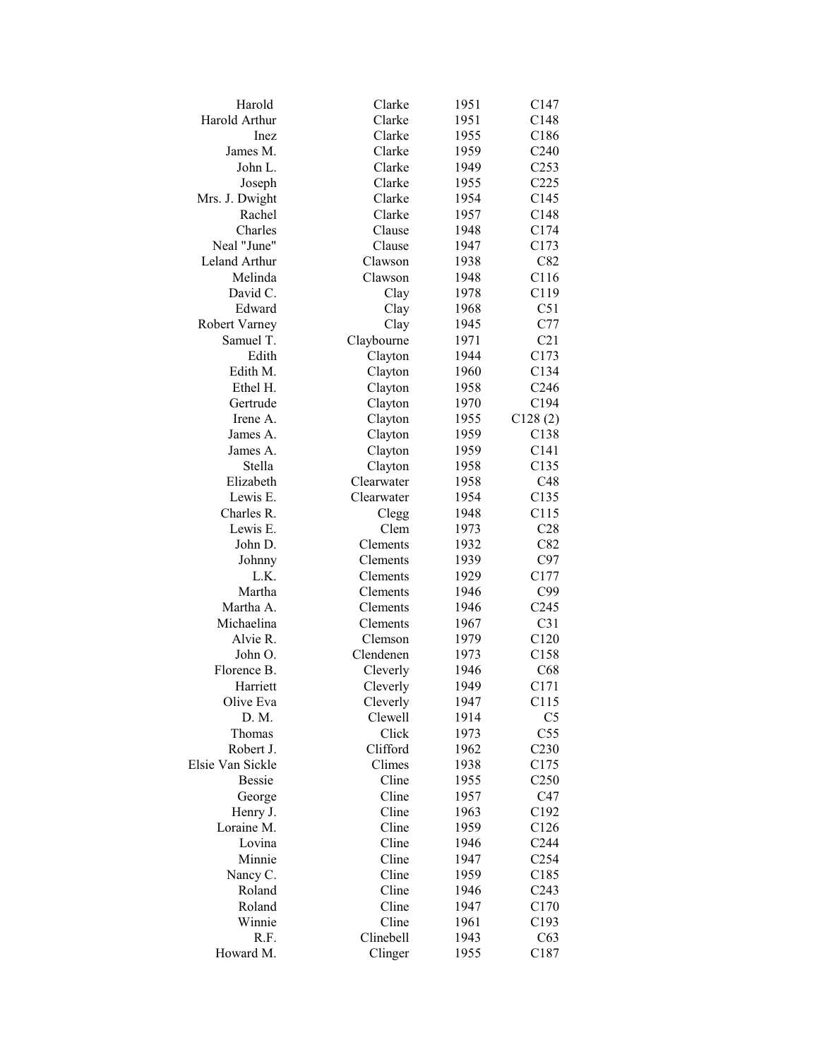| Harold                | Clarke        | 1951 | C147             |
|-----------------------|---------------|------|------------------|
| <b>Harold Arthur</b>  | Clarke        | 1951 | C148             |
| Inez                  | Clarke        | 1955 | C186             |
| James M.              | Clarke        | 1959 | C <sub>240</sub> |
| John L.               | Clarke        | 1949 | C <sub>253</sub> |
| Joseph                | Clarke        | 1955 | C225             |
| Mrs. J. Dwight        | Clarke        | 1954 | C145             |
| Rachel                | Clarke        | 1957 | C148             |
| Charles               | Clause        | 1948 | C174             |
| Neal "June"           | Clause        | 1947 | C173             |
| Leland Arthur         | Clawson       | 1938 | C82              |
| Melinda               | Clawson       | 1948 | C116             |
| David C.              | Clay          | 1978 | C119             |
| Edward                | Clay          | 1968 | C51              |
| Robert Varney         | Clay          | 1945 | C77              |
| Samuel T.             | Claybourne    | 1971 | C21              |
| Edith                 | Clayton       | 1944 | C173             |
| Edith M.              | Clayton       | 1960 | C134             |
| Ethel H.              | Clayton       | 1958 | C <sub>246</sub> |
| Gertrude              | Clayton       | 1970 | C194             |
| Irene A.              | Clayton       | 1955 | C128(2)          |
| James A.              | Clayton       | 1959 | C138             |
| James A.              | Clayton       | 1959 | C141             |
| Stella                | Clayton       | 1958 | C135             |
| Elizabeth             | Clearwater    |      | C48              |
| Lewis E.              |               | 1958 |                  |
| Charles R.            | Clearwater    | 1954 | C135<br>C115     |
| Lewis E.              | Clegg<br>Clem | 1948 |                  |
|                       | Clements      | 1973 | C28<br>C82       |
| John D.               | Clements      | 1932 |                  |
| Johnny                |               | 1939 | C97              |
| L.K.<br>Martha        | Clements      | 1929 | C177<br>C99      |
|                       | Clements      | 1946 | C <sub>245</sub> |
| Martha A.             | Clements      | 1946 |                  |
| Michaelina            | Clements      | 1967 | C31              |
| Alvie R.              | Clemson       | 1979 | C120             |
| John O.               | Clendenen     | 1973 | C158             |
| Florence B.           | Cleverly      | 1946 | C68              |
| Harriett<br>Olive Eva | Cleverly      | 1949 | C171             |
|                       | Cleverly      | 1947 | C115             |
| D. M.                 | Clewell       | 1914 | C <sub>5</sub>   |
| Thomas                | Click         | 1973 | C <sub>55</sub>  |
| Robert J.             | Clifford      | 1962 | C <sub>230</sub> |
| Elsie Van Sickle      | Climes        | 1938 | C175             |
| <b>Bessie</b>         | Cline         | 1955 | C <sub>250</sub> |
| George                | Cline         | 1957 | C47              |
| Henry J.              | Cline         | 1963 | C192             |
| Loraine M.            | Cline         | 1959 | C126             |
| Lovina                | Cline         | 1946 | C <sub>244</sub> |
| Minnie                | Cline         | 1947 | C <sub>254</sub> |
| Nancy C.              | Cline         | 1959 | C185             |
| Roland                | Cline         | 1946 | C <sub>243</sub> |
| Roland                | Cline         | 1947 | C170             |
| Winnie                | Cline         | 1961 | C193             |
| R.F.                  | Clinebell     | 1943 | C63              |
| Howard M.             | Clinger       | 1955 | C187             |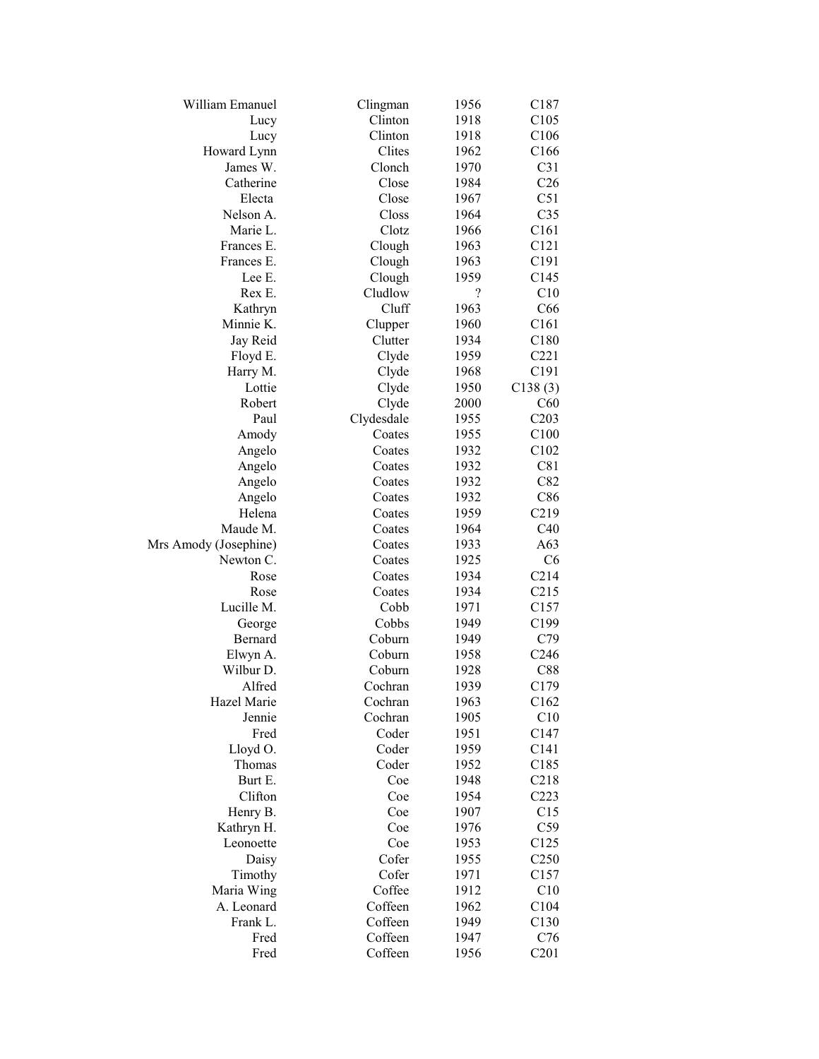| Clinton<br>C105<br>1918<br>Lucy<br>Clinton<br>1918<br>C <sub>106</sub><br>Lucy<br>Clites<br>Howard Lynn<br>1962<br>C166<br>C31<br>James W.<br>Clonch<br>1970<br>Close<br>C <sub>26</sub><br>Catherine<br>1984<br>Electa<br>Close<br>C51<br>1967<br>Closs<br>C <sub>35</sub><br>Nelson A.<br>1964<br>Marie L.<br>Clotz<br>C161<br>1966<br>C121<br>Frances E.<br>Clough<br>1963<br>C191<br>Frances E.<br>Clough<br>1963<br>Clough<br>Lee E.<br>1959<br>C145<br>$\overline{\mathcal{L}}$<br>Cludlow<br>C10<br>Rex E.<br>Cluff<br>1963<br>C66<br>Kathryn<br>Minnie K.<br>C161<br>1960<br>Clupper<br>Clutter<br>Jay Reid<br>1934<br>C180<br>C221<br>Floyd E.<br>Clyde<br>1959<br>Harry M.<br>Clyde<br>1968<br>C191<br>Lottie<br>Clyde<br>C138(3)<br>1950<br>Clyde<br>Robert<br>2000<br>C60<br>C203<br>Paul<br>Clydesdale<br>1955<br>C100<br>Coates<br>1955<br>Amody<br>C102<br>1932<br>Angelo<br>Coates<br>1932<br>C81<br>Angelo<br>Coates<br>C82<br>Angelo<br>Coates<br>1932<br>C86<br>Angelo<br>Coates<br>1932<br>C219<br>Helena<br>Coates<br>1959<br>Maude M.<br>C40<br>Coates<br>1964<br>A63<br>Mrs Amody (Josephine)<br>1933<br>Coates<br>Newton C.<br>Coates<br>1925<br>C6<br>Rose<br>Coates<br>1934<br>C214<br>C215<br>1934<br>Rose<br>Coates<br>Lucille M.<br>C157<br>Cobb<br>1971<br>Cobbs<br>C199<br>1949<br>George<br>Coburn<br>C79<br>Bernard<br>1949<br>Coburn<br>C <sub>246</sub><br>Elwyn A.<br>1958<br>Wilbur D.<br>Coburn<br>C88<br>1928<br>Alfred<br>Cochran<br>C179<br>1939<br>Hazel Marie<br>Cochran<br>C162<br>1963<br>C10<br>Jennie<br>Cochran<br>1905<br>Coder<br>Fred<br>1951<br>C147<br>Coder<br>C141<br>Lloyd O.<br>1959<br>Thomas<br>Coder<br>1952<br>C185<br>C218<br>Burt E.<br>Coe<br>1948<br>Clifton<br>C223<br>Coe<br>1954<br>C15<br>Henry B.<br>Coe<br>1907<br>Kathryn H.<br>C59<br>Coe<br>1976<br>Leonoette<br>Coe<br>1953<br>C <sub>125</sub><br>Cofer<br>Daisy<br>1955<br>C <sub>250</sub><br>Cofer<br>C157<br>Timothy<br>1971<br>C10<br>Maria Wing<br>Coffee<br>1912 | William Emanuel | Clingman | 1956 | C <sub>187</sub> |
|-----------------------------------------------------------------------------------------------------------------------------------------------------------------------------------------------------------------------------------------------------------------------------------------------------------------------------------------------------------------------------------------------------------------------------------------------------------------------------------------------------------------------------------------------------------------------------------------------------------------------------------------------------------------------------------------------------------------------------------------------------------------------------------------------------------------------------------------------------------------------------------------------------------------------------------------------------------------------------------------------------------------------------------------------------------------------------------------------------------------------------------------------------------------------------------------------------------------------------------------------------------------------------------------------------------------------------------------------------------------------------------------------------------------------------------------------------------------------------------------------------------------------------------------------------------------------------------------------------------------------------------------------------------------------------------------------------------------------------------------------------------------------------------------------------------------------------------------------------------------------------------------------------------------------------------------------------------------------------------------------------|-----------------|----------|------|------------------|
|                                                                                                                                                                                                                                                                                                                                                                                                                                                                                                                                                                                                                                                                                                                                                                                                                                                                                                                                                                                                                                                                                                                                                                                                                                                                                                                                                                                                                                                                                                                                                                                                                                                                                                                                                                                                                                                                                                                                                                                                     |                 |          |      |                  |
|                                                                                                                                                                                                                                                                                                                                                                                                                                                                                                                                                                                                                                                                                                                                                                                                                                                                                                                                                                                                                                                                                                                                                                                                                                                                                                                                                                                                                                                                                                                                                                                                                                                                                                                                                                                                                                                                                                                                                                                                     |                 |          |      |                  |
|                                                                                                                                                                                                                                                                                                                                                                                                                                                                                                                                                                                                                                                                                                                                                                                                                                                                                                                                                                                                                                                                                                                                                                                                                                                                                                                                                                                                                                                                                                                                                                                                                                                                                                                                                                                                                                                                                                                                                                                                     |                 |          |      |                  |
|                                                                                                                                                                                                                                                                                                                                                                                                                                                                                                                                                                                                                                                                                                                                                                                                                                                                                                                                                                                                                                                                                                                                                                                                                                                                                                                                                                                                                                                                                                                                                                                                                                                                                                                                                                                                                                                                                                                                                                                                     |                 |          |      |                  |
|                                                                                                                                                                                                                                                                                                                                                                                                                                                                                                                                                                                                                                                                                                                                                                                                                                                                                                                                                                                                                                                                                                                                                                                                                                                                                                                                                                                                                                                                                                                                                                                                                                                                                                                                                                                                                                                                                                                                                                                                     |                 |          |      |                  |
|                                                                                                                                                                                                                                                                                                                                                                                                                                                                                                                                                                                                                                                                                                                                                                                                                                                                                                                                                                                                                                                                                                                                                                                                                                                                                                                                                                                                                                                                                                                                                                                                                                                                                                                                                                                                                                                                                                                                                                                                     |                 |          |      |                  |
|                                                                                                                                                                                                                                                                                                                                                                                                                                                                                                                                                                                                                                                                                                                                                                                                                                                                                                                                                                                                                                                                                                                                                                                                                                                                                                                                                                                                                                                                                                                                                                                                                                                                                                                                                                                                                                                                                                                                                                                                     |                 |          |      |                  |
|                                                                                                                                                                                                                                                                                                                                                                                                                                                                                                                                                                                                                                                                                                                                                                                                                                                                                                                                                                                                                                                                                                                                                                                                                                                                                                                                                                                                                                                                                                                                                                                                                                                                                                                                                                                                                                                                                                                                                                                                     |                 |          |      |                  |
|                                                                                                                                                                                                                                                                                                                                                                                                                                                                                                                                                                                                                                                                                                                                                                                                                                                                                                                                                                                                                                                                                                                                                                                                                                                                                                                                                                                                                                                                                                                                                                                                                                                                                                                                                                                                                                                                                                                                                                                                     |                 |          |      |                  |
|                                                                                                                                                                                                                                                                                                                                                                                                                                                                                                                                                                                                                                                                                                                                                                                                                                                                                                                                                                                                                                                                                                                                                                                                                                                                                                                                                                                                                                                                                                                                                                                                                                                                                                                                                                                                                                                                                                                                                                                                     |                 |          |      |                  |
|                                                                                                                                                                                                                                                                                                                                                                                                                                                                                                                                                                                                                                                                                                                                                                                                                                                                                                                                                                                                                                                                                                                                                                                                                                                                                                                                                                                                                                                                                                                                                                                                                                                                                                                                                                                                                                                                                                                                                                                                     |                 |          |      |                  |
|                                                                                                                                                                                                                                                                                                                                                                                                                                                                                                                                                                                                                                                                                                                                                                                                                                                                                                                                                                                                                                                                                                                                                                                                                                                                                                                                                                                                                                                                                                                                                                                                                                                                                                                                                                                                                                                                                                                                                                                                     |                 |          |      |                  |
|                                                                                                                                                                                                                                                                                                                                                                                                                                                                                                                                                                                                                                                                                                                                                                                                                                                                                                                                                                                                                                                                                                                                                                                                                                                                                                                                                                                                                                                                                                                                                                                                                                                                                                                                                                                                                                                                                                                                                                                                     |                 |          |      |                  |
|                                                                                                                                                                                                                                                                                                                                                                                                                                                                                                                                                                                                                                                                                                                                                                                                                                                                                                                                                                                                                                                                                                                                                                                                                                                                                                                                                                                                                                                                                                                                                                                                                                                                                                                                                                                                                                                                                                                                                                                                     |                 |          |      |                  |
|                                                                                                                                                                                                                                                                                                                                                                                                                                                                                                                                                                                                                                                                                                                                                                                                                                                                                                                                                                                                                                                                                                                                                                                                                                                                                                                                                                                                                                                                                                                                                                                                                                                                                                                                                                                                                                                                                                                                                                                                     |                 |          |      |                  |
|                                                                                                                                                                                                                                                                                                                                                                                                                                                                                                                                                                                                                                                                                                                                                                                                                                                                                                                                                                                                                                                                                                                                                                                                                                                                                                                                                                                                                                                                                                                                                                                                                                                                                                                                                                                                                                                                                                                                                                                                     |                 |          |      |                  |
|                                                                                                                                                                                                                                                                                                                                                                                                                                                                                                                                                                                                                                                                                                                                                                                                                                                                                                                                                                                                                                                                                                                                                                                                                                                                                                                                                                                                                                                                                                                                                                                                                                                                                                                                                                                                                                                                                                                                                                                                     |                 |          |      |                  |
|                                                                                                                                                                                                                                                                                                                                                                                                                                                                                                                                                                                                                                                                                                                                                                                                                                                                                                                                                                                                                                                                                                                                                                                                                                                                                                                                                                                                                                                                                                                                                                                                                                                                                                                                                                                                                                                                                                                                                                                                     |                 |          |      |                  |
|                                                                                                                                                                                                                                                                                                                                                                                                                                                                                                                                                                                                                                                                                                                                                                                                                                                                                                                                                                                                                                                                                                                                                                                                                                                                                                                                                                                                                                                                                                                                                                                                                                                                                                                                                                                                                                                                                                                                                                                                     |                 |          |      |                  |
|                                                                                                                                                                                                                                                                                                                                                                                                                                                                                                                                                                                                                                                                                                                                                                                                                                                                                                                                                                                                                                                                                                                                                                                                                                                                                                                                                                                                                                                                                                                                                                                                                                                                                                                                                                                                                                                                                                                                                                                                     |                 |          |      |                  |
|                                                                                                                                                                                                                                                                                                                                                                                                                                                                                                                                                                                                                                                                                                                                                                                                                                                                                                                                                                                                                                                                                                                                                                                                                                                                                                                                                                                                                                                                                                                                                                                                                                                                                                                                                                                                                                                                                                                                                                                                     |                 |          |      |                  |
|                                                                                                                                                                                                                                                                                                                                                                                                                                                                                                                                                                                                                                                                                                                                                                                                                                                                                                                                                                                                                                                                                                                                                                                                                                                                                                                                                                                                                                                                                                                                                                                                                                                                                                                                                                                                                                                                                                                                                                                                     |                 |          |      |                  |
|                                                                                                                                                                                                                                                                                                                                                                                                                                                                                                                                                                                                                                                                                                                                                                                                                                                                                                                                                                                                                                                                                                                                                                                                                                                                                                                                                                                                                                                                                                                                                                                                                                                                                                                                                                                                                                                                                                                                                                                                     |                 |          |      |                  |
|                                                                                                                                                                                                                                                                                                                                                                                                                                                                                                                                                                                                                                                                                                                                                                                                                                                                                                                                                                                                                                                                                                                                                                                                                                                                                                                                                                                                                                                                                                                                                                                                                                                                                                                                                                                                                                                                                                                                                                                                     |                 |          |      |                  |
|                                                                                                                                                                                                                                                                                                                                                                                                                                                                                                                                                                                                                                                                                                                                                                                                                                                                                                                                                                                                                                                                                                                                                                                                                                                                                                                                                                                                                                                                                                                                                                                                                                                                                                                                                                                                                                                                                                                                                                                                     |                 |          |      |                  |
|                                                                                                                                                                                                                                                                                                                                                                                                                                                                                                                                                                                                                                                                                                                                                                                                                                                                                                                                                                                                                                                                                                                                                                                                                                                                                                                                                                                                                                                                                                                                                                                                                                                                                                                                                                                                                                                                                                                                                                                                     |                 |          |      |                  |
|                                                                                                                                                                                                                                                                                                                                                                                                                                                                                                                                                                                                                                                                                                                                                                                                                                                                                                                                                                                                                                                                                                                                                                                                                                                                                                                                                                                                                                                                                                                                                                                                                                                                                                                                                                                                                                                                                                                                                                                                     |                 |          |      |                  |
|                                                                                                                                                                                                                                                                                                                                                                                                                                                                                                                                                                                                                                                                                                                                                                                                                                                                                                                                                                                                                                                                                                                                                                                                                                                                                                                                                                                                                                                                                                                                                                                                                                                                                                                                                                                                                                                                                                                                                                                                     |                 |          |      |                  |
|                                                                                                                                                                                                                                                                                                                                                                                                                                                                                                                                                                                                                                                                                                                                                                                                                                                                                                                                                                                                                                                                                                                                                                                                                                                                                                                                                                                                                                                                                                                                                                                                                                                                                                                                                                                                                                                                                                                                                                                                     |                 |          |      |                  |
|                                                                                                                                                                                                                                                                                                                                                                                                                                                                                                                                                                                                                                                                                                                                                                                                                                                                                                                                                                                                                                                                                                                                                                                                                                                                                                                                                                                                                                                                                                                                                                                                                                                                                                                                                                                                                                                                                                                                                                                                     |                 |          |      |                  |
|                                                                                                                                                                                                                                                                                                                                                                                                                                                                                                                                                                                                                                                                                                                                                                                                                                                                                                                                                                                                                                                                                                                                                                                                                                                                                                                                                                                                                                                                                                                                                                                                                                                                                                                                                                                                                                                                                                                                                                                                     |                 |          |      |                  |
|                                                                                                                                                                                                                                                                                                                                                                                                                                                                                                                                                                                                                                                                                                                                                                                                                                                                                                                                                                                                                                                                                                                                                                                                                                                                                                                                                                                                                                                                                                                                                                                                                                                                                                                                                                                                                                                                                                                                                                                                     |                 |          |      |                  |
|                                                                                                                                                                                                                                                                                                                                                                                                                                                                                                                                                                                                                                                                                                                                                                                                                                                                                                                                                                                                                                                                                                                                                                                                                                                                                                                                                                                                                                                                                                                                                                                                                                                                                                                                                                                                                                                                                                                                                                                                     |                 |          |      |                  |
|                                                                                                                                                                                                                                                                                                                                                                                                                                                                                                                                                                                                                                                                                                                                                                                                                                                                                                                                                                                                                                                                                                                                                                                                                                                                                                                                                                                                                                                                                                                                                                                                                                                                                                                                                                                                                                                                                                                                                                                                     |                 |          |      |                  |
|                                                                                                                                                                                                                                                                                                                                                                                                                                                                                                                                                                                                                                                                                                                                                                                                                                                                                                                                                                                                                                                                                                                                                                                                                                                                                                                                                                                                                                                                                                                                                                                                                                                                                                                                                                                                                                                                                                                                                                                                     |                 |          |      |                  |
|                                                                                                                                                                                                                                                                                                                                                                                                                                                                                                                                                                                                                                                                                                                                                                                                                                                                                                                                                                                                                                                                                                                                                                                                                                                                                                                                                                                                                                                                                                                                                                                                                                                                                                                                                                                                                                                                                                                                                                                                     |                 |          |      |                  |
|                                                                                                                                                                                                                                                                                                                                                                                                                                                                                                                                                                                                                                                                                                                                                                                                                                                                                                                                                                                                                                                                                                                                                                                                                                                                                                                                                                                                                                                                                                                                                                                                                                                                                                                                                                                                                                                                                                                                                                                                     |                 |          |      |                  |
|                                                                                                                                                                                                                                                                                                                                                                                                                                                                                                                                                                                                                                                                                                                                                                                                                                                                                                                                                                                                                                                                                                                                                                                                                                                                                                                                                                                                                                                                                                                                                                                                                                                                                                                                                                                                                                                                                                                                                                                                     |                 |          |      |                  |
|                                                                                                                                                                                                                                                                                                                                                                                                                                                                                                                                                                                                                                                                                                                                                                                                                                                                                                                                                                                                                                                                                                                                                                                                                                                                                                                                                                                                                                                                                                                                                                                                                                                                                                                                                                                                                                                                                                                                                                                                     |                 |          |      |                  |
|                                                                                                                                                                                                                                                                                                                                                                                                                                                                                                                                                                                                                                                                                                                                                                                                                                                                                                                                                                                                                                                                                                                                                                                                                                                                                                                                                                                                                                                                                                                                                                                                                                                                                                                                                                                                                                                                                                                                                                                                     |                 |          |      |                  |
|                                                                                                                                                                                                                                                                                                                                                                                                                                                                                                                                                                                                                                                                                                                                                                                                                                                                                                                                                                                                                                                                                                                                                                                                                                                                                                                                                                                                                                                                                                                                                                                                                                                                                                                                                                                                                                                                                                                                                                                                     |                 |          |      |                  |
|                                                                                                                                                                                                                                                                                                                                                                                                                                                                                                                                                                                                                                                                                                                                                                                                                                                                                                                                                                                                                                                                                                                                                                                                                                                                                                                                                                                                                                                                                                                                                                                                                                                                                                                                                                                                                                                                                                                                                                                                     |                 |          |      |                  |
|                                                                                                                                                                                                                                                                                                                                                                                                                                                                                                                                                                                                                                                                                                                                                                                                                                                                                                                                                                                                                                                                                                                                                                                                                                                                                                                                                                                                                                                                                                                                                                                                                                                                                                                                                                                                                                                                                                                                                                                                     |                 |          |      |                  |
|                                                                                                                                                                                                                                                                                                                                                                                                                                                                                                                                                                                                                                                                                                                                                                                                                                                                                                                                                                                                                                                                                                                                                                                                                                                                                                                                                                                                                                                                                                                                                                                                                                                                                                                                                                                                                                                                                                                                                                                                     |                 |          |      |                  |
|                                                                                                                                                                                                                                                                                                                                                                                                                                                                                                                                                                                                                                                                                                                                                                                                                                                                                                                                                                                                                                                                                                                                                                                                                                                                                                                                                                                                                                                                                                                                                                                                                                                                                                                                                                                                                                                                                                                                                                                                     |                 |          |      |                  |
|                                                                                                                                                                                                                                                                                                                                                                                                                                                                                                                                                                                                                                                                                                                                                                                                                                                                                                                                                                                                                                                                                                                                                                                                                                                                                                                                                                                                                                                                                                                                                                                                                                                                                                                                                                                                                                                                                                                                                                                                     |                 |          |      |                  |
|                                                                                                                                                                                                                                                                                                                                                                                                                                                                                                                                                                                                                                                                                                                                                                                                                                                                                                                                                                                                                                                                                                                                                                                                                                                                                                                                                                                                                                                                                                                                                                                                                                                                                                                                                                                                                                                                                                                                                                                                     |                 |          |      |                  |
|                                                                                                                                                                                                                                                                                                                                                                                                                                                                                                                                                                                                                                                                                                                                                                                                                                                                                                                                                                                                                                                                                                                                                                                                                                                                                                                                                                                                                                                                                                                                                                                                                                                                                                                                                                                                                                                                                                                                                                                                     |                 |          |      |                  |
|                                                                                                                                                                                                                                                                                                                                                                                                                                                                                                                                                                                                                                                                                                                                                                                                                                                                                                                                                                                                                                                                                                                                                                                                                                                                                                                                                                                                                                                                                                                                                                                                                                                                                                                                                                                                                                                                                                                                                                                                     |                 |          |      |                  |
|                                                                                                                                                                                                                                                                                                                                                                                                                                                                                                                                                                                                                                                                                                                                                                                                                                                                                                                                                                                                                                                                                                                                                                                                                                                                                                                                                                                                                                                                                                                                                                                                                                                                                                                                                                                                                                                                                                                                                                                                     |                 |          |      |                  |
|                                                                                                                                                                                                                                                                                                                                                                                                                                                                                                                                                                                                                                                                                                                                                                                                                                                                                                                                                                                                                                                                                                                                                                                                                                                                                                                                                                                                                                                                                                                                                                                                                                                                                                                                                                                                                                                                                                                                                                                                     |                 |          |      |                  |
| Coffeen<br>A. Leonard<br>1962<br>C104                                                                                                                                                                                                                                                                                                                                                                                                                                                                                                                                                                                                                                                                                                                                                                                                                                                                                                                                                                                                                                                                                                                                                                                                                                                                                                                                                                                                                                                                                                                                                                                                                                                                                                                                                                                                                                                                                                                                                               |                 |          |      |                  |
| Frank L.<br>Coffeen<br>1949<br>C130                                                                                                                                                                                                                                                                                                                                                                                                                                                                                                                                                                                                                                                                                                                                                                                                                                                                                                                                                                                                                                                                                                                                                                                                                                                                                                                                                                                                                                                                                                                                                                                                                                                                                                                                                                                                                                                                                                                                                                 |                 |          |      |                  |
| Coffeen<br>Fred<br>1947<br>C76                                                                                                                                                                                                                                                                                                                                                                                                                                                                                                                                                                                                                                                                                                                                                                                                                                                                                                                                                                                                                                                                                                                                                                                                                                                                                                                                                                                                                                                                                                                                                                                                                                                                                                                                                                                                                                                                                                                                                                      |                 |          |      |                  |
| Coffeen<br>C201<br>Fred<br>1956                                                                                                                                                                                                                                                                                                                                                                                                                                                                                                                                                                                                                                                                                                                                                                                                                                                                                                                                                                                                                                                                                                                                                                                                                                                                                                                                                                                                                                                                                                                                                                                                                                                                                                                                                                                                                                                                                                                                                                     |                 |          |      |                  |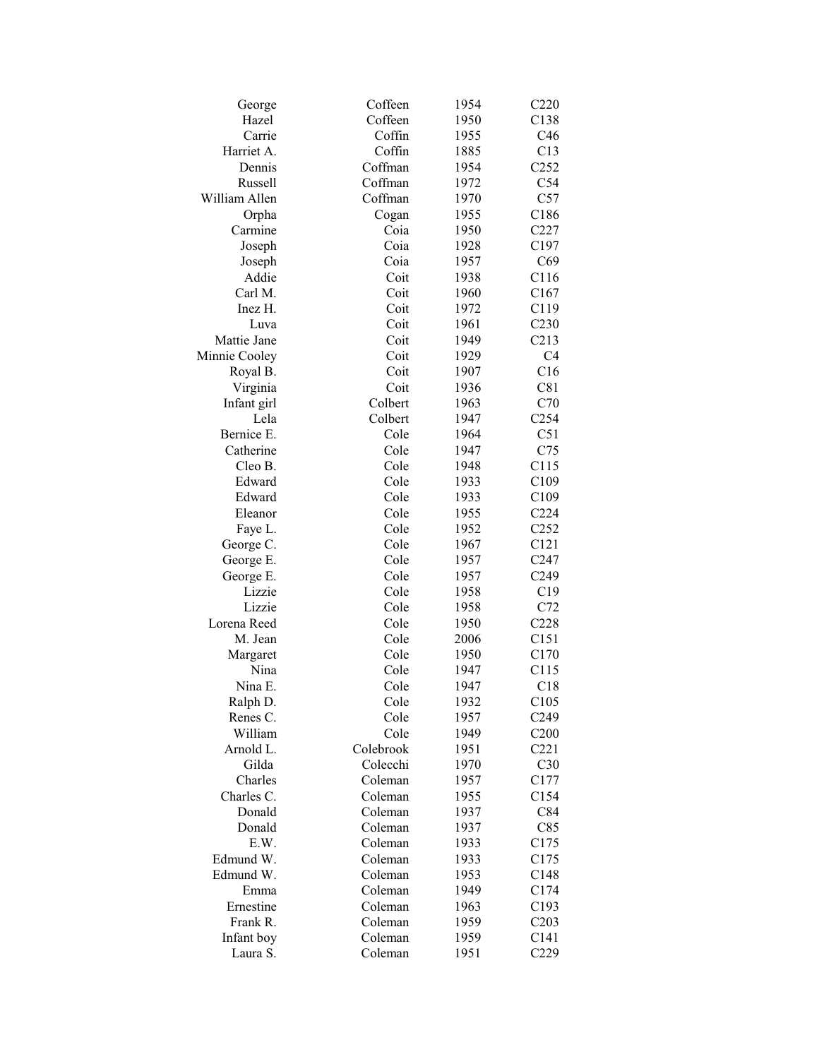| George        | Coffeen      | 1954         | C220             |
|---------------|--------------|--------------|------------------|
| Hazel         | Coffeen      | 1950         | C138             |
| Carrie        | Coffin       | 1955         | C46              |
| Harriet A.    | Coffin       | 1885         | C13              |
| Dennis        | Coffman      | 1954         | C <sub>252</sub> |
| Russell       | Coffman      | 1972         | C54              |
| William Allen | Coffman      | 1970         | C57              |
| Orpha         | Cogan        | 1955         | C186             |
| Carmine       | Coia         | 1950         | C227             |
| Joseph        | Coia         | 1928         | C197             |
| Joseph        | Coia         | 1957         | C69              |
| Addie         | Coit         | 1938         | C116             |
| Carl M.       | Coit         | 1960         | C167             |
| Inez H.       | Coit         | 1972         | C119             |
| Luva          | Coit         | 1961         | C <sub>230</sub> |
| Mattie Jane   | Coit         | 1949         | C213             |
| Minnie Cooley | Coit         | 1929         | C <sub>4</sub>   |
| Royal B.      | Coit         | 1907         | C16              |
| Virginia      | Coit         | 1936         | C81              |
| Infant girl   | Colbert      | 1963         | C70              |
| Lela          | Colbert      | 1947         | C <sub>254</sub> |
| Bernice E.    |              |              | C51              |
| Catherine     | Cole<br>Cole | 1964         |                  |
| Cleo B.       | Cole         | 1947<br>1948 | C75              |
|               |              |              | C115             |
| Edward        | Cole         | 1933         | C109             |
| Edward        | Cole         | 1933         | C <sub>109</sub> |
| Eleanor       | Cole         | 1955         | C224             |
| Faye L.       | Cole         | 1952         | C <sub>252</sub> |
| George C.     | Cole         | 1967         | C121             |
| George E.     | Cole         | 1957         | C <sub>247</sub> |
| George E.     | Cole         | 1957         | C <sub>249</sub> |
| Lizzie        | Cole         | 1958         | C19              |
| Lizzie        | Cole         | 1958         | C72              |
| Lorena Reed   | Cole         | 1950         | C228             |
| M. Jean       | Cole         | 2006         | C151             |
| Margaret      | Cole         | 1950         | C170             |
| Nina          | Cole         | 1947         | C115             |
| Nina E.       | Cole         | 1947         | C18              |
| Ralph D.      | Cole         | 1932         | C105             |
| Renes C.      | Cole         | 1957         | C <sub>249</sub> |
| William       | Cole         | 1949         | C200             |
| Arnold L.     | Colebrook    | 1951         | C221             |
| Gilda         | Colecchi     | 1970         | C30              |
| Charles       | Coleman      | 1957         | C177             |
| Charles C.    | Coleman      | 1955         | C154             |
| Donald        | Coleman      | 1937         | C84              |
| Donald        | Coleman      | 1937         | C85              |
| E.W.          | Coleman      | 1933         | C175             |
| Edmund W.     | Coleman      | 1933         | C175             |
| Edmund W.     | Coleman      | 1953         | C148             |
| Emma          | Coleman      | 1949         | C174             |
| Ernestine     | Coleman      | 1963         | C193             |
| Frank R.      | Coleman      | 1959         | C203             |
| Infant boy    | Coleman      | 1959         | C141             |
| Laura S.      | Coleman      | 1951         | C229             |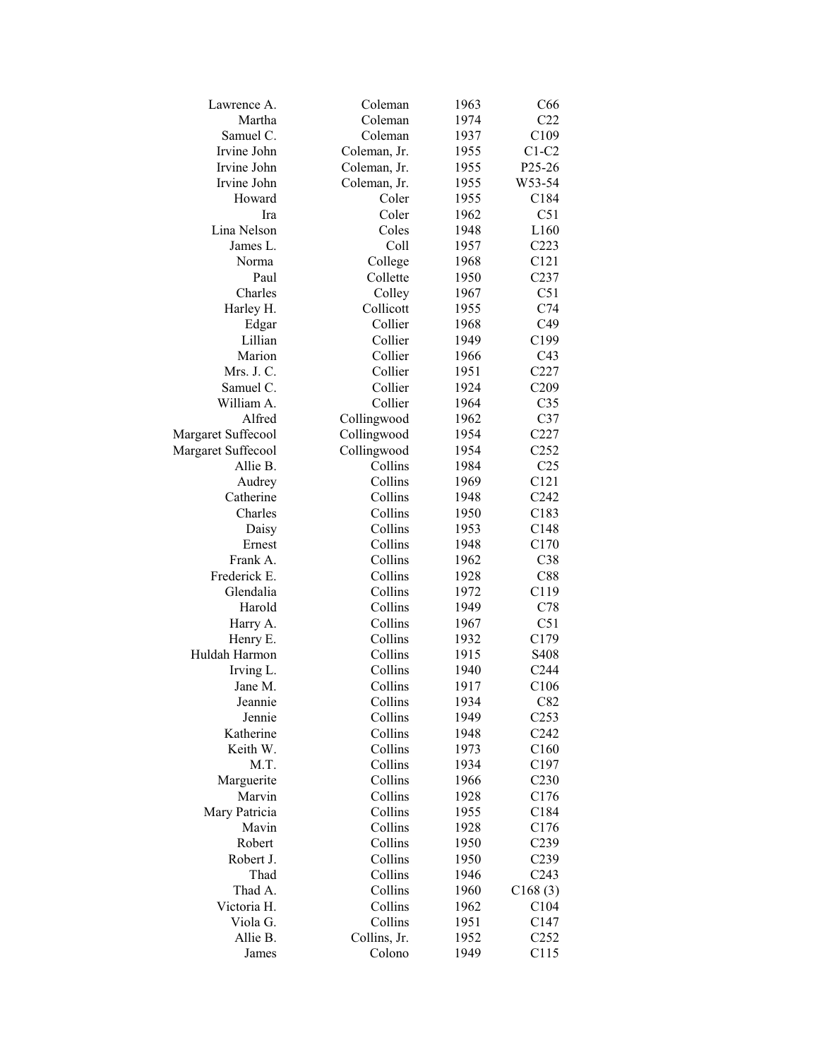| Lawrence A.        | Coleman      | 1963 | C66               |
|--------------------|--------------|------|-------------------|
| Martha             | Coleman      | 1974 | C22               |
| Samuel C.          | Coleman      | 1937 | C109              |
| Irvine John        | Coleman, Jr. | 1955 | $C1-C2$           |
| Irvine John        | Coleman, Jr. | 1955 | P25-26            |
| Irvine John        | Coleman, Jr. | 1955 | W53-54            |
| Howard             | Coler        | 1955 | C184              |
| Ira                | Coler        | 1962 | C51               |
| Lina Nelson        | Coles        | 1948 | L160              |
| James L.           | Coll         | 1957 | C223              |
| Norma              | College      | 1968 | C121              |
| Paul               | Collette     | 1950 | C <sub>237</sub>  |
| Charles            | Colley       | 1967 | C51               |
| Harley H.          | Collicott    | 1955 | C74               |
| Edgar              | Collier      | 1968 | C49               |
| Lillian            | Collier      | 1949 | C199              |
| Marion             | Collier      | 1966 | C <sub>43</sub>   |
| Mrs. J. C.         | Collier      | 1951 | C227              |
| Samuel C.          | Collier      | 1924 | C209              |
| William A.         | Collier      |      | C <sub>35</sub>   |
|                    |              | 1964 |                   |
| Alfred             | Collingwood  | 1962 | C37               |
| Margaret Suffecool | Collingwood  | 1954 | C227              |
| Margaret Suffecool | Collingwood  | 1954 | C <sub>252</sub>  |
| Allie B.           | Collins      | 1984 | C <sub>25</sub>   |
| Audrey             | Collins      | 1969 | C121              |
| Catherine          | Collins      | 1948 | C242              |
| Charles            | Collins      | 1950 | C183              |
| Daisy              | Collins      | 1953 | C148              |
| Ernest             | Collins      | 1948 | C170              |
| Frank A.           | Collins      | 1962 | C38               |
| Frederick E.       | Collins      | 1928 | C88               |
| Glendalia          | Collins      | 1972 | C119              |
| Harold             | Collins      | 1949 | C78               |
| Harry A.           | Collins      | 1967 | C51               |
| Henry E.           | Collins      | 1932 | C179              |
| Huldah Harmon      | Collins      | 1915 | S <sub>40</sub> 8 |
| Irving L.          | Collins      | 1940 | C <sub>244</sub>  |
| Jane M.            | Collins      | 1917 | C106              |
| Jeannie            | Collins      | 1934 | C82               |
| Jennie             | Collins      | 1949 | C <sub>253</sub>  |
| Katherine          | Collins      | 1948 | C <sub>242</sub>  |
| Keith W.           | Collins      | 1973 | C160              |
| M.T.               | Collins      | 1934 | C197              |
| Marguerite         | Collins      | 1966 | C <sub>230</sub>  |
| Marvin             | Collins      | 1928 | C176              |
| Mary Patricia      | Collins      | 1955 | C184              |
| Mavin              | Collins      | 1928 | C176              |
| Robert             | Collins      | 1950 | C <sub>239</sub>  |
| Robert J.          | Collins      | 1950 | C <sub>239</sub>  |
| Thad               | Collins      | 1946 | C <sub>243</sub>  |
| Thad A.            | Collins      | 1960 | C168(3)           |
| Victoria H.        | Collins      | 1962 | C104              |
| Viola G.           | Collins      | 1951 | C147              |
| Allie B.           | Collins, Jr. | 1952 | C <sub>252</sub>  |
|                    |              |      |                   |
| James              | Colono       | 1949 | C115              |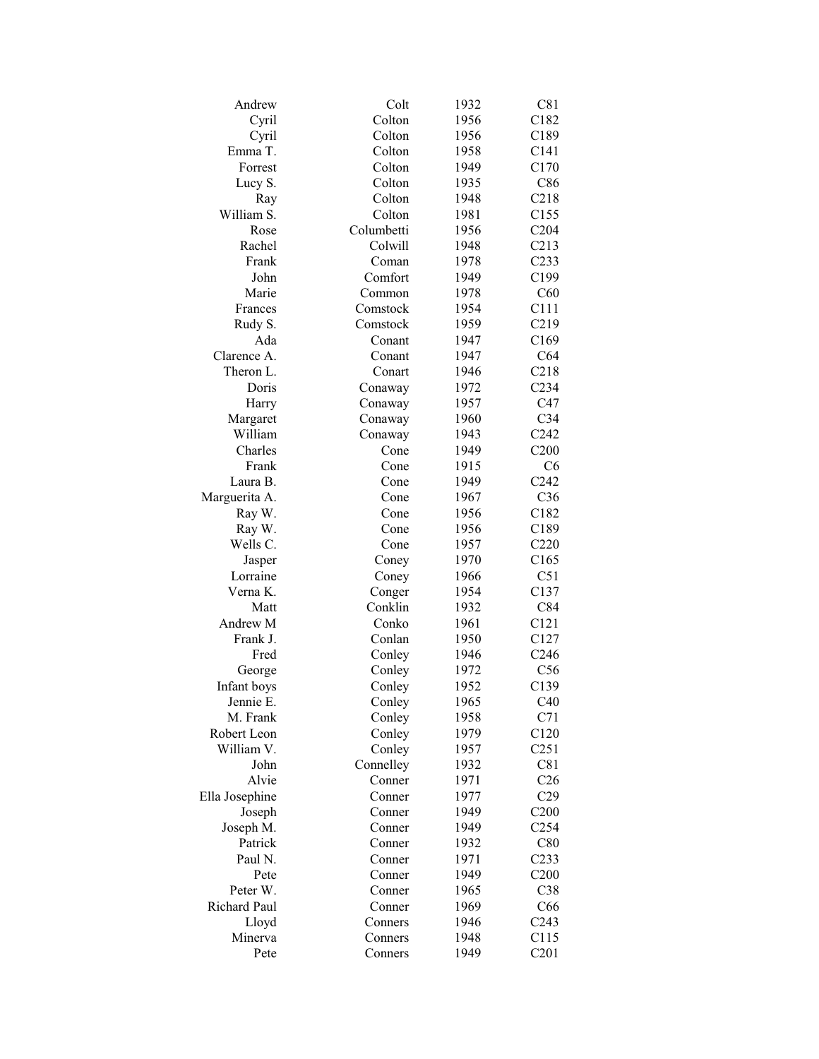| Andrew         | Colt       | 1932 | C81              |
|----------------|------------|------|------------------|
| Cyril          | Colton     | 1956 | C <sub>182</sub> |
| Cyril          | Colton     | 1956 | C189             |
| Emma T.        | Colton     | 1958 | C141             |
| Forrest        | Colton     | 1949 | C170             |
| Lucy S.        | Colton     | 1935 | C86              |
| Ray            | Colton     | 1948 | C218             |
| William S.     | Colton     | 1981 | C155             |
| Rose           | Columbetti | 1956 | C204             |
| Rachel         | Colwill    | 1948 | C213             |
| Frank          | Coman      | 1978 | C233             |
| John           | Comfort    | 1949 | C199             |
| Marie          | Common     | 1978 | C60              |
| Frances        | Comstock   | 1954 | C111             |
| Rudy S.        | Comstock   | 1959 | C219             |
| Ada            | Conant     | 1947 | C <sub>169</sub> |
| Clarence A.    | Conant     | 1947 | C64              |
| Theron L.      | Conart     | 1946 | C218             |
| Doris          | Conaway    | 1972 | C <sub>234</sub> |
| Harry          | Conaway    | 1957 | C47              |
| Margaret       | Conaway    | 1960 | C <sub>34</sub>  |
| William        | Conaway    | 1943 | C <sub>242</sub> |
| Charles        | Cone       | 1949 | C200             |
| Frank          | Cone       | 1915 | C <sub>6</sub>   |
|                |            |      |                  |
| Laura B.       | Cone       | 1949 | C <sub>242</sub> |
| Marguerita A.  | Cone       | 1967 | C36              |
| Ray W.         | Cone       | 1956 | C182             |
| Ray W.         | Cone       | 1956 | C189             |
| Wells C.       | Cone       | 1957 | C <sub>220</sub> |
| Jasper         | Coney      | 1970 | C165             |
| Lorraine       | Coney      | 1966 | C51              |
| Verna K.       | Conger     | 1954 | C137             |
| Matt           | Conklin    | 1932 | C84              |
| Andrew M       | Conko      | 1961 | C121             |
| Frank J.       | Conlan     | 1950 | C127             |
| Fred           | Conley     | 1946 | C <sub>246</sub> |
| George         | Conley     | 1972 | C56              |
| Infant boys    | Conley     | 1952 | C139             |
| Jennie E.      | Conley     | 1965 | C40              |
| M. Frank       | Conley     | 1958 | C71              |
| Robert Leon    | Conley     | 1979 | C <sub>120</sub> |
| William V.     | Conley     | 1957 | C <sub>251</sub> |
| John           | Connelley  | 1932 | C81              |
| Alvie          | Conner     | 1971 | C <sub>26</sub>  |
| Ella Josephine | Conner     | 1977 | C29              |
| Joseph         | Conner     | 1949 | C <sub>200</sub> |
| Joseph M.      | Conner     | 1949 | C <sub>254</sub> |
| Patrick        | Conner     | 1932 | C80              |
| Paul N.        | Conner     | 1971 | C <sub>233</sub> |
| Pete           | Conner     | 1949 | C <sub>200</sub> |
| Peter W.       | Conner     | 1965 | C38              |
| Richard Paul   | Conner     | 1969 | C66              |
| Lloyd          | Conners    | 1946 | C <sub>243</sub> |
| Minerva        | Conners    | 1948 | C115             |
| Pete           | Conners    | 1949 | C201             |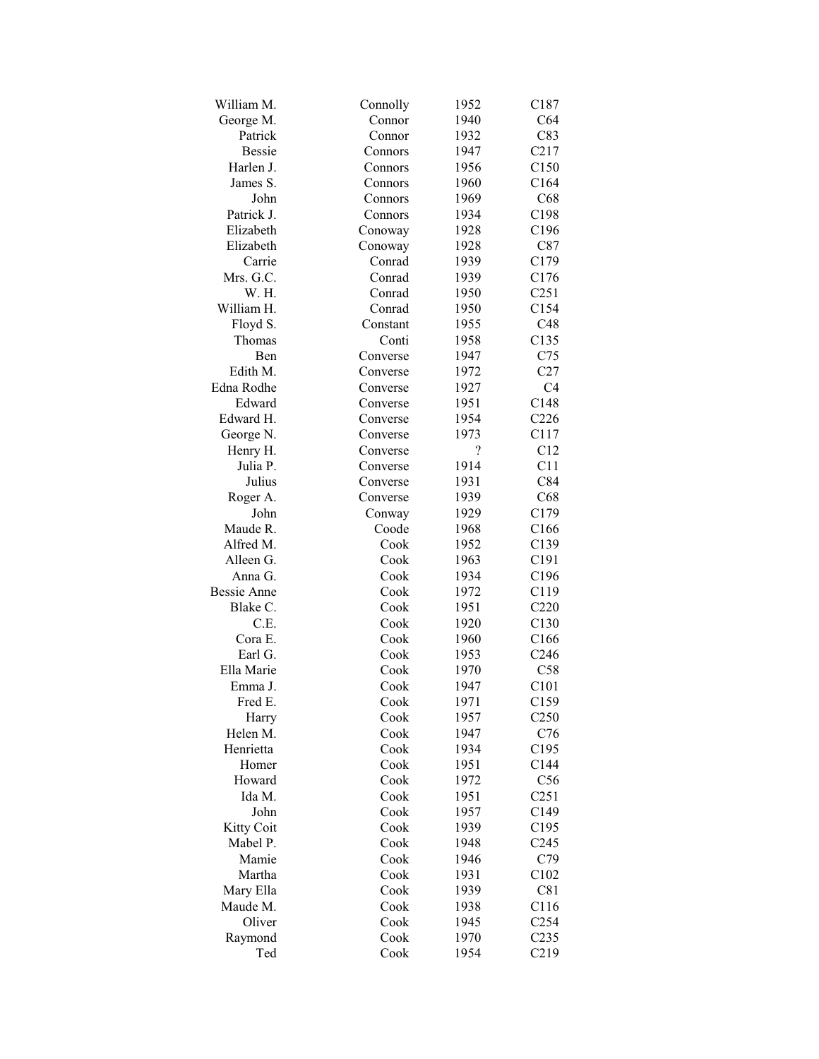| William M.    | Connolly | 1952 | C187             |
|---------------|----------|------|------------------|
| George M.     | Connor   | 1940 | C64              |
| Patrick       | Connor   | 1932 | C83              |
| <b>Bessie</b> | Connors  | 1947 | C217             |
| Harlen J.     | Connors  | 1956 | C150             |
| James S.      | Connors  | 1960 | C164             |
| John          | Connors  | 1969 | C68              |
| Patrick J.    | Connors  | 1934 | C198             |
| Elizabeth     | Conoway  | 1928 | C196             |
| Elizabeth     | Conoway  | 1928 | C87              |
| Carrie        | Conrad   | 1939 | C179             |
| Mrs. G.C.     | Conrad   | 1939 | C176             |
| W. H.         | Conrad   | 1950 | C <sub>251</sub> |
| William H.    | Conrad   | 1950 | C154             |
| Floyd S.      | Constant | 1955 | C48              |
| Thomas        | Conti    | 1958 | C135             |
| <b>B</b> en   | Converse | 1947 | C75              |
| Edith M.      | Converse | 1972 | C27              |
| Edna Rodhe    | Converse | 1927 | C <sub>4</sub>   |
| Edward        | Converse | 1951 | C148             |
| Edward H.     | Converse | 1954 | C <sub>226</sub> |
|               |          |      |                  |
| George N.     | Converse | 1973 | C117             |
| Henry H.      | Converse | ?    | C12              |
| Julia P.      | Converse | 1914 | C11              |
| Julius        | Converse | 1931 | C84              |
| Roger A.      | Converse | 1939 | C68              |
| John          | Conway   | 1929 | C179             |
| Maude R.      | Coode    | 1968 | C <sub>166</sub> |
| Alfred M.     | Cook     | 1952 | C139             |
| Alleen G.     | Cook     | 1963 | C191             |
| Anna G.       | Cook     | 1934 | C196             |
| Bessie Anne   | Cook     | 1972 | C119             |
| Blake C.      | Cook     | 1951 | C220             |
| C.E.          | Cook     | 1920 | C130             |
| Cora E.       | Cook     | 1960 | C <sub>166</sub> |
| Earl G.       | Cook     | 1953 | C <sub>246</sub> |
| Ella Marie    | Cook     | 1970 | C58              |
| Emma J.       | Cook     | 1947 | C101             |
| Fred E.       | Cook     | 1971 | C159             |
| Harry         | Cook     | 1957 | C <sub>250</sub> |
| Helen M.      | Cook     | 1947 | C76              |
| Henrietta     | Cook     | 1934 | C <sub>195</sub> |
| Homer         | Cook     | 1951 | C144             |
| Howard        | Cook     | 1972 | C56              |
| Ida M.        | Cook     | 1951 | C <sub>251</sub> |
| John          | Cook     | 1957 | C149             |
| Kitty Coit    | Cook     | 1939 | C <sub>195</sub> |
| Mabel P.      | Cook     | 1948 | C <sub>245</sub> |
| Mamie         | Cook     | 1946 | C79              |
| Martha        | Cook     | 1931 | C102             |
| Mary Ella     | Cook     | 1939 | C81              |
| Maude M.      | Cook     | 1938 | C116             |
| Oliver        | Cook     | 1945 | C <sub>254</sub> |
| Raymond       | Cook     | 1970 | C <sub>235</sub> |
| Ted           | Cook     | 1954 | C219             |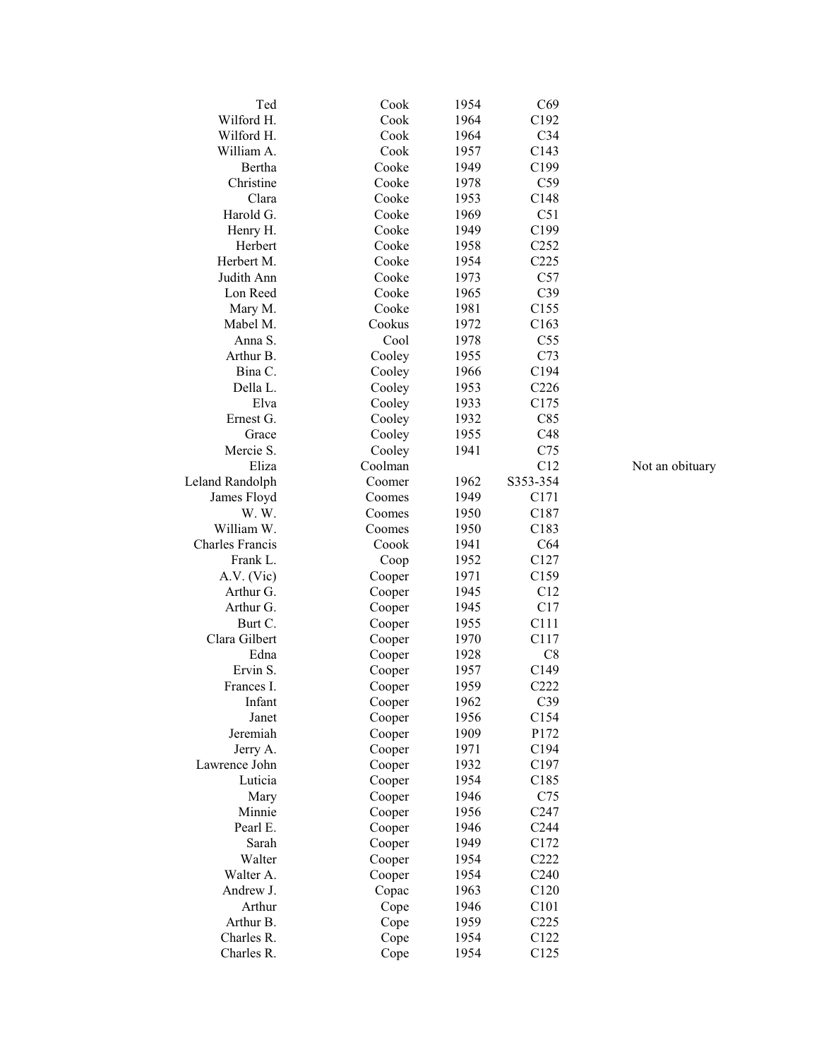| Ted                    | Cook    | 1954         | C69              |                 |
|------------------------|---------|--------------|------------------|-----------------|
| Wilford H.             | Cook    | 1964         | C192             |                 |
| Wilford H.             | Cook    | 1964         | C <sub>34</sub>  |                 |
| William A.             | Cook    | 1957         | C143             |                 |
| Bertha                 | Cooke   | 1949         | C199             |                 |
| Christine              | Cooke   | 1978         | C59              |                 |
| Clara                  | Cooke   | 1953         | C148             |                 |
| Harold G.              | Cooke   | 1969         | C51              |                 |
| Henry H.               | Cooke   | 1949         | C199             |                 |
| Herbert                | Cooke   | 1958         | C <sub>252</sub> |                 |
| Herbert M.             | Cooke   | 1954         | C <sub>225</sub> |                 |
| Judith Ann             | Cooke   | 1973         | C57              |                 |
| Lon Reed               | Cooke   | 1965         | C39              |                 |
| Mary M.                | Cooke   | 1981         | C155             |                 |
| Mabel M.               | Cookus  | 1972         | C163             |                 |
| Anna S.                | Cool    | 1978         | C <sub>55</sub>  |                 |
| Arthur B.              | Cooley  | 1955         | C73              |                 |
| Bina C.                | Cooley  | 1966         | C194             |                 |
| Della L.               | Cooley  | 1953         | C <sub>226</sub> |                 |
| Elva                   | Cooley  | 1933         | C175             |                 |
| Ernest G.              |         | 1932         | C85              |                 |
|                        | Cooley  |              |                  |                 |
| Grace                  | Cooley  | 1955<br>1941 | C48              |                 |
| Mercie S.              | Cooley  |              | C75              |                 |
| Eliza                  | Coolman |              | C12              | Not an obituary |
| Leland Randolph        | Coomer  | 1962         | S353-354         |                 |
| James Floyd            | Coomes  | 1949         | C171             |                 |
| W.W.                   | Coomes  | 1950         | C187             |                 |
| William W.             | Coomes  | 1950         | C183             |                 |
| <b>Charles Francis</b> | Coook   | 1941         | C64              |                 |
| Frank L.               | Coop    | 1952         | C <sub>127</sub> |                 |
| A.V. (Vic)             | Cooper  | 1971         | C159             |                 |
| Arthur G.              | Cooper  | 1945         | C12              |                 |
| Arthur G.              | Cooper  | 1945         | C17              |                 |
| Burt C.                | Cooper  | 1955         | C111             |                 |
| Clara Gilbert          | Cooper  | 1970         | C117             |                 |
| Edna                   | Cooper  | 1928         | C8               |                 |
| Ervin S.               | Cooper  | 1957         | C149             |                 |
| Frances I.             | Cooper  | 1959         | C222             |                 |
| Infant                 | Cooper  | 1962         | C39              |                 |
| Janet                  | Cooper  | 1956         | C154             |                 |
| Jeremiah               | Cooper  | 1909         | P172             |                 |
| Jerry A.               | Cooper  | 1971         | C194             |                 |
| Lawrence John          | Cooper  | 1932         | C197             |                 |
| Luticia                | Cooper  | 1954         | C185             |                 |
| Mary                   | Cooper  | 1946         | C75              |                 |
| Minnie                 | Cooper  | 1956         | C <sub>247</sub> |                 |
| Pearl E.               | Cooper  | 1946         | C <sub>244</sub> |                 |
| Sarah                  | Cooper  | 1949         | C172             |                 |
| Walter                 | Cooper  | 1954         | C222             |                 |
| Walter A.              | Cooper  | 1954         | C <sub>240</sub> |                 |
| Andrew J.              | Copac   | 1963         | C120             |                 |
| Arthur                 | Cope    | 1946         | C101             |                 |
| Arthur B.              | Cope    | 1959         | C225             |                 |
| Charles R.             | Cope    | 1954         | C122             |                 |
| Charles R.             | Cope    | 1954         | C125             |                 |
|                        |         |              |                  |                 |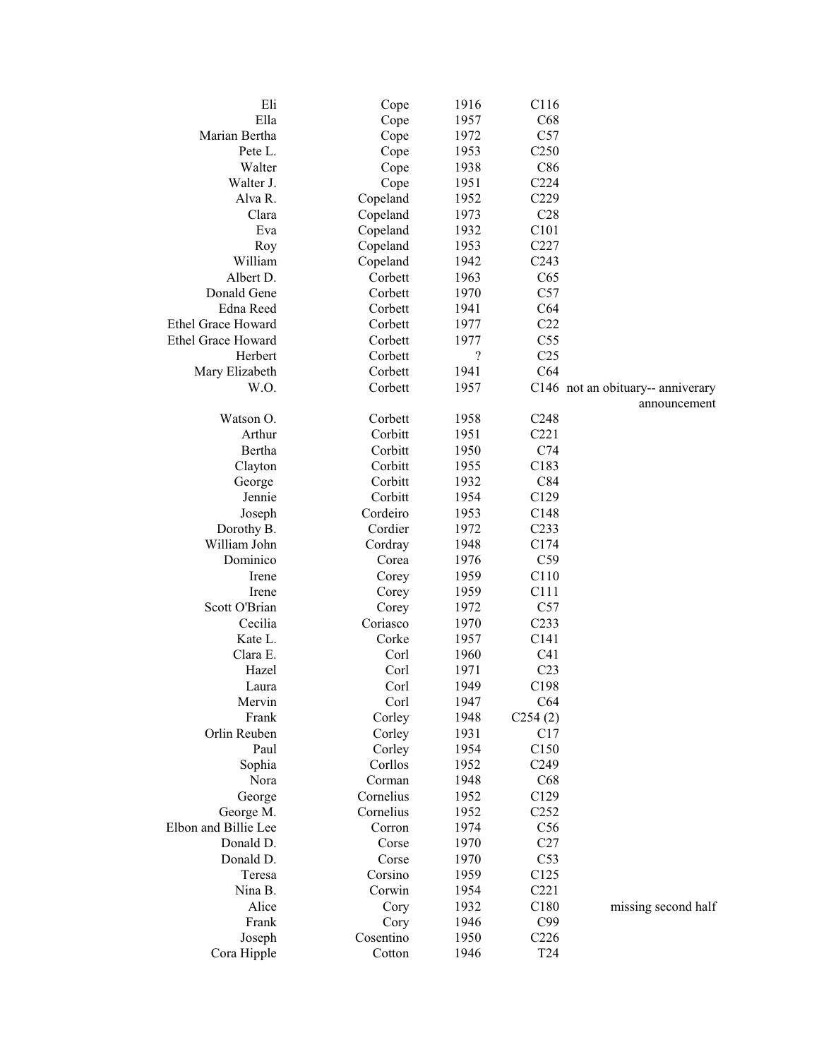| Eli                       | Cope      | 1916       | C116             |                                   |
|---------------------------|-----------|------------|------------------|-----------------------------------|
| Ella                      | Cope      | 1957       | C68              |                                   |
| Marian Bertha             | Cope      | 1972       | C57              |                                   |
| Pete L.                   | Cope      | 1953       | C <sub>250</sub> |                                   |
| Walter                    | Cope      | 1938       | C86              |                                   |
| Walter J.                 | Cope      | 1951       | C224             |                                   |
| Alva R.                   | Copeland  | 1952       | C229             |                                   |
| Clara                     | Copeland  | 1973       | C28              |                                   |
| Eva                       | Copeland  | 1932       | C101             |                                   |
| Roy                       | Copeland  | 1953       | C227             |                                   |
| William                   | Copeland  | 1942       | C <sub>243</sub> |                                   |
| Albert D.                 | Corbett   | 1963       | C65              |                                   |
| Donald Gene               | Corbett   | 1970       | C57              |                                   |
| Edna Reed                 | Corbett   | 1941       | C64              |                                   |
| <b>Ethel Grace Howard</b> | Corbett   | 1977       | C22              |                                   |
| Ethel Grace Howard        | Corbett   | 1977       | C55              |                                   |
| Herbert                   | Corbett   | $\ddot{?}$ | C <sub>25</sub>  |                                   |
| Mary Elizabeth            | Corbett   | 1941       | C64              |                                   |
| W.O.                      | Corbett   | 1957       |                  | C146 not an obituary-- anniverary |
|                           |           |            |                  | announcement                      |
| Watson O.                 | Corbett   | 1958       | C <sub>248</sub> |                                   |
| Arthur                    | Corbitt   | 1951       | C221             |                                   |
| Bertha                    | Corbitt   | 1950       | C74              |                                   |
| Clayton                   | Corbitt   | 1955       | C183             |                                   |
| George                    | Corbitt   | 1932       | C84              |                                   |
| Jennie                    | Corbitt   | 1954       | C129             |                                   |
| Joseph                    | Cordeiro  | 1953       | C148             |                                   |
| Dorothy B.                | Cordier   | 1972       | C <sub>233</sub> |                                   |
| William John              | Cordray   | 1948       | C174             |                                   |
| Dominico                  | Corea     | 1976       | C59              |                                   |
| Irene                     | Corey     | 1959       | C110             |                                   |
| Irene                     | Corey     | 1959       | C111             |                                   |
| Scott O'Brian             | Corey     | 1972       | C57              |                                   |
| Cecilia                   | Coriasco  | 1970       | C <sub>233</sub> |                                   |
| Kate L.                   | Corke     | 1957       | C <sub>141</sub> |                                   |
| Clara E.                  | Corl      | 1960       | C <sub>41</sub>  |                                   |
| Hazel                     | Corl      | 1971       | C <sub>23</sub>  |                                   |
| Laura                     | Corl      | 1949       | C198             |                                   |
| Mervin                    | Corl      | 1947       | C64              |                                   |
| Frank                     | Corley    | 1948       | C254(2)          |                                   |
| Orlin Reuben              | Corley    | 1931       | C17              |                                   |
| Paul                      | Corley    | 1954       | C150             |                                   |
| Sophia                    | Corllos   | 1952       | C <sub>249</sub> |                                   |
| Nora                      | Corman    | 1948       | C68              |                                   |
| George                    | Cornelius | 1952       | C129             |                                   |
| George M.                 | Cornelius | 1952       | C <sub>252</sub> |                                   |
| Elbon and Billie Lee      | Corron    | 1974       | C56              |                                   |
| Donald D.                 | Corse     | 1970       | C27              |                                   |
| Donald D.                 | Corse     | 1970       | C53              |                                   |
| Teresa                    | Corsino   | 1959       | C125             |                                   |
| Nina B.                   | Corwin    | 1954       | C221             |                                   |
| Alice                     | Cory      | 1932       | C180             | missing second half               |
| Frank                     | Cory      | 1946       | C99              |                                   |
| Joseph                    | Cosentino | 1950       | C <sub>226</sub> |                                   |
| Cora Hipple               | Cotton    | 1946       | T <sub>24</sub>  |                                   |
|                           |           |            |                  |                                   |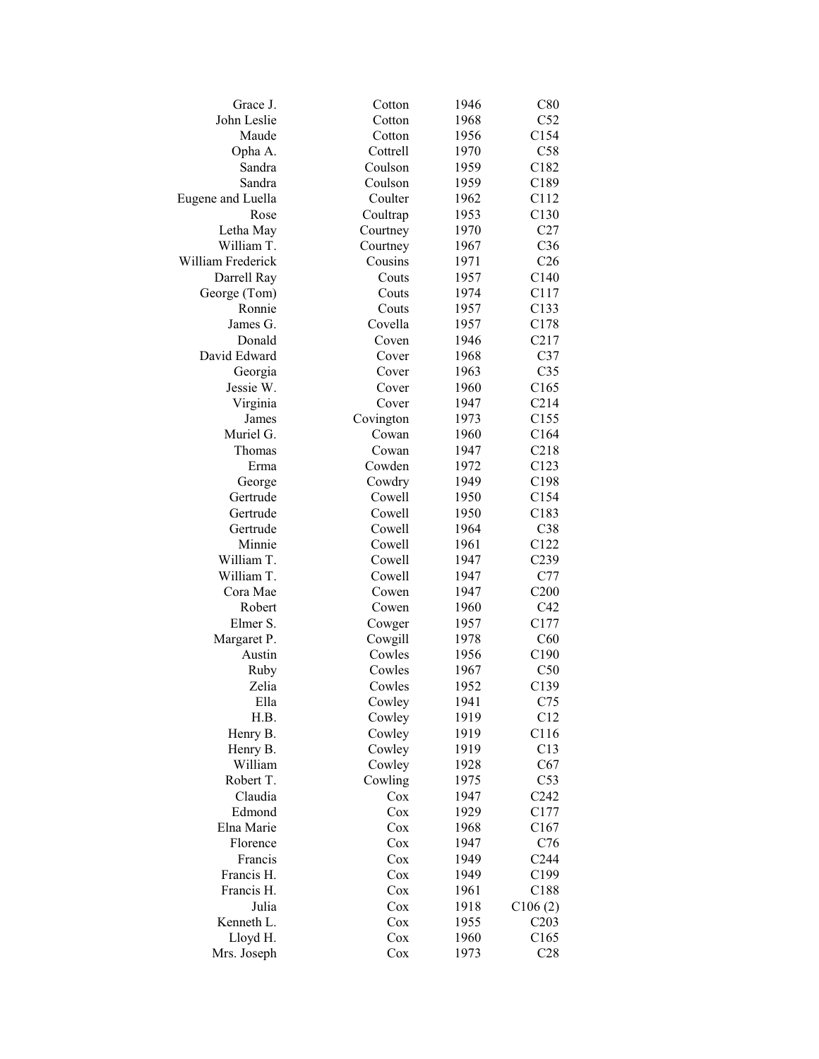| Grace J.          | Cotton    | 1946 | C80              |
|-------------------|-----------|------|------------------|
| John Leslie       | Cotton    | 1968 | C52              |
| Maude             | Cotton    | 1956 | C154             |
| Opha A.           | Cottrell  | 1970 | C58              |
| Sandra            | Coulson   | 1959 | C182             |
| Sandra            | Coulson   | 1959 | C189             |
| Eugene and Luella | Coulter   | 1962 | C112             |
| Rose              | Coultrap  | 1953 | C130             |
| Letha May         | Courtney  | 1970 | C27              |
| William T.        | Courtney  | 1967 | C36              |
| William Frederick | Cousins   | 1971 | C <sub>26</sub>  |
| Darrell Ray       | Couts     | 1957 | C140             |
| George (Tom)      | Couts     | 1974 | C117             |
| Ronnie            | Couts     | 1957 | C133             |
| James G.          | Covella   | 1957 | C178             |
| Donald            | Coven     | 1946 | C217             |
| David Edward      | Cover     | 1968 | C37              |
| Georgia           | Cover     | 1963 | C <sub>35</sub>  |
| Jessie W.         | Cover     | 1960 | C165             |
| Virginia          | Cover     | 1947 | C214             |
| James             | Covington | 1973 | C155             |
| Muriel G.         | Cowan     | 1960 | C164             |
| Thomas            | Cowan     | 1947 | C218             |
| Erma              | Cowden    | 1972 | C123             |
| George            | Cowdry    | 1949 | C198             |
| Gertrude          | Cowell    | 1950 | C154             |
| Gertrude          | Cowell    | 1950 | C183             |
| Gertrude          | Cowell    | 1964 | C38              |
| Minnie            | Cowell    | 1961 | C122             |
| William T.        | Cowell    | 1947 | C239             |
| William T.        | Cowell    | 1947 | C77              |
| Cora Mae          | Cowen     | 1947 | C200             |
| Robert            | Cowen     | 1960 | C42              |
| Elmer S.          | Cowger    | 1957 | C177             |
| Margaret P.       | Cowgill   | 1978 | C60              |
| Austin            | Cowles    | 1956 | C190             |
| Ruby              | Cowles    | 1967 | C50              |
| Zelia             | Cowles    | 1952 | C139             |
| Ella              | Cowley    | 1941 | C75              |
| H.B.              | Cowley    | 1919 | C12              |
| Henry B.          | Cowley    | 1919 | C116             |
| Henry B.          | Cowley    | 1919 | C13              |
| William           | Cowley    | 1928 | C67              |
| Robert T.         | Cowling   | 1975 | C53              |
| Claudia           | Cox       | 1947 | C <sub>242</sub> |
| Edmond            | Cox       | 1929 | C177             |
| Elna Marie        | Cox       | 1968 | C167             |
| Florence          | Cox       | 1947 | C76              |
| Francis           | Cox       | 1949 | C <sub>244</sub> |
| Francis H.        | Cox       | 1949 | C199             |
| Francis H.        | $\cos$    | 1961 | C188             |
| Julia             | Cox       | 1918 | C106(2)          |
| Kenneth L.        | $\cos$    | 1955 | C203             |
| Lloyd H.          | $\cos$    | 1960 | C165             |
| Mrs. Joseph       | $\cos$    | 1973 | C28              |
|                   |           |      |                  |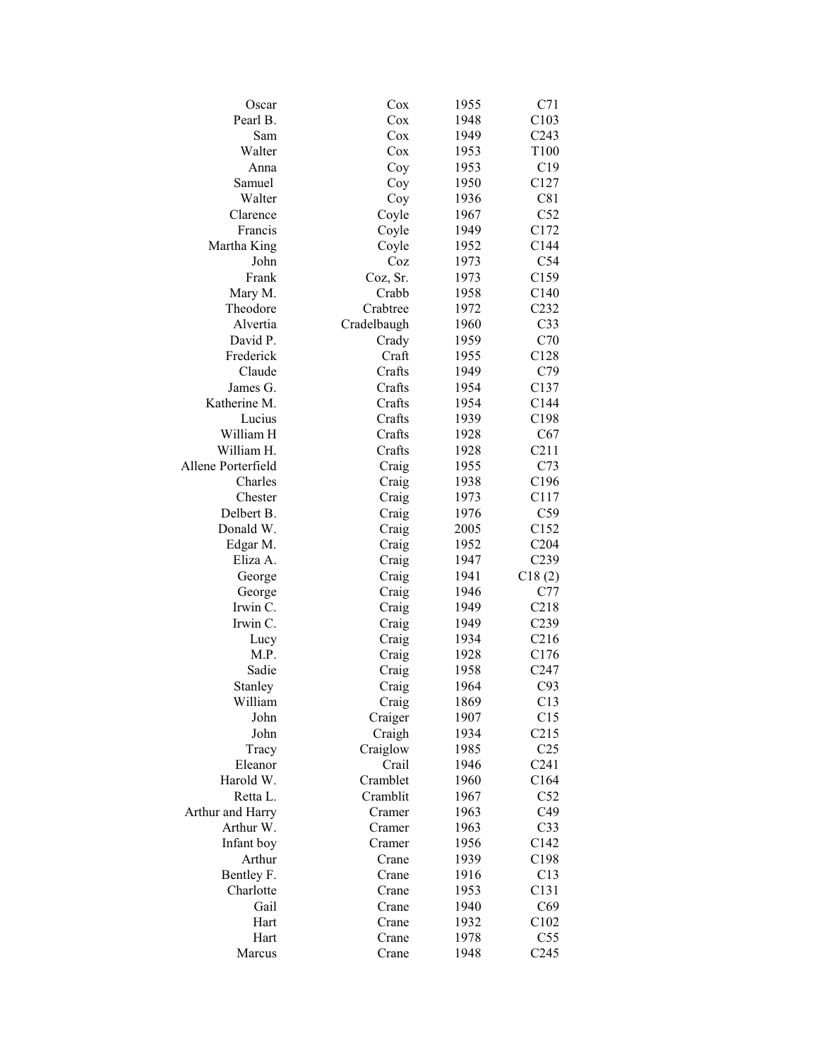| Oscar              | Cox         | 1955 | C71              |
|--------------------|-------------|------|------------------|
| Pearl B.           | Cox         | 1948 | C103             |
| Sam                | Cox         | 1949 | C <sub>243</sub> |
| Walter             | Cox         | 1953 | T100             |
| Anna               | Coy         | 1953 | C19              |
| Samuel             | Coy         | 1950 | C127             |
| Walter             | Coy         | 1936 | C81              |
| Clarence           | Coyle       | 1967 | C52              |
| Francis            | Coyle       | 1949 | C172             |
| Martha King        | Coyle       | 1952 | C144             |
| John               | Coz         | 1973 | C54              |
| Frank              | Coz, Sr.    | 1973 | C <sub>159</sub> |
| Mary M.            | Crabb       | 1958 | C140             |
| Theodore           | Crabtree    | 1972 | C232             |
| Alvertia           | Cradelbaugh | 1960 | C <sub>33</sub>  |
| David P.           | Crady       | 1959 | C70              |
| Frederick          | Craft       | 1955 | C128             |
| Claude             | Crafts      | 1949 | C79              |
| James G.           | Crafts      | 1954 | C137             |
| Katherine M.       | Crafts      | 1954 | C144             |
| Lucius             | Crafts      | 1939 | C198             |
| William H          | Crafts      | 1928 | C67              |
| William H.         | Crafts      | 1928 | C211             |
| Allene Porterfield | Craig       | 1955 | C73              |
| Charles            | Craig       | 1938 | C196             |
| Chester            | Craig       | 1973 | C117             |
| Delbert B.         | Craig       | 1976 | C59              |
| Donald W.          | Craig       | 2005 | C152             |
| Edgar M.           | Craig       | 1952 | C204             |
| Eliza A.           | Craig       | 1947 | C239             |
| George             | Craig       | 1941 | C18(2)           |
| George             | Craig       | 1946 | C77              |
| Irwin C.           | Craig       | 1949 | C218             |
| Irwin C.           | Craig       | 1949 | C <sub>239</sub> |
| Lucy               | Craig       | 1934 | C <sub>216</sub> |
| M.P.               | Craig       | 1928 | C176             |
| Sadie              | Craig       | 1958 | C <sub>247</sub> |
| Stanley            | Craig       | 1964 | C93              |
| William            | Craig       | 1869 | C13              |
| John               | Craiger     | 1907 | C15              |
| John               | Craigh      | 1934 | C215             |
|                    | Craiglow    | 1985 | C <sub>25</sub>  |
| Tracy<br>Eleanor   | Crail       | 1946 | C <sub>241</sub> |
| Harold W.          | Cramblet    | 1960 | C164             |
| Retta L.           | Cramblit    |      | C52              |
| Arthur and Harry   |             | 1967 | C49              |
| Arthur W.          | Cramer      | 1963 |                  |
|                    | Cramer      | 1963 | C <sub>33</sub>  |
| Infant boy         | Cramer      | 1956 | C142             |
| Arthur             | Crane       | 1939 | C198             |
| Bentley F.         | Crane       | 1916 | C13              |
| Charlotte          | Crane       | 1953 | C131             |
| Gail               | Crane       | 1940 | C69              |
| Hart               | Crane       | 1932 | C102             |
| Hart               | Crane       | 1978 | C <sub>55</sub>  |
| Marcus             | Crane       | 1948 | C <sub>245</sub> |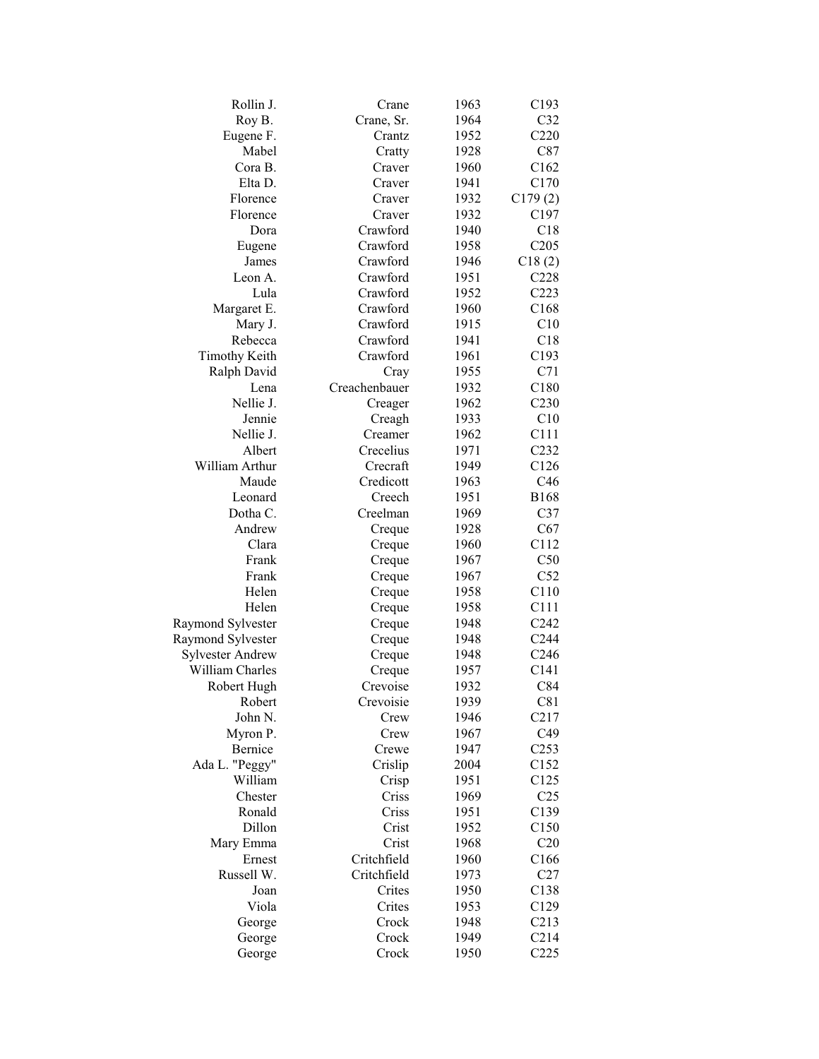| C32<br>Roy B.<br>Crane, Sr.<br>1964<br>C220<br>Eugene F.<br>Crantz<br>1952<br>Mabel<br>C87<br>1928<br>Cratty<br>C162<br>Cora B.<br>Craver<br>1960<br>Elta D.<br>C170<br>1941<br>Craver<br>Florence<br>C179(2)<br>1932<br>Craver<br>C197<br>Florence<br>1932<br>Craver<br>Crawford<br>1940<br>C18<br>Dora<br>Crawford<br>C205<br>1958<br>Eugene<br>Crawford<br>1946<br>James<br>C18(2)<br>Crawford<br>C228<br>Leon A.<br>1951<br>Crawford<br>C223<br>Lula<br>1952<br>Crawford<br>C168<br>Margaret E.<br>1960<br>Crawford<br>C10<br>Mary J.<br>1915<br>Crawford<br>C18<br>Rebecca<br>1941<br>Crawford<br>C193<br><b>Timothy Keith</b><br>1961<br>C71<br>Ralph David<br>1955<br>Cray<br>Creachenbauer<br>1932<br>C180<br>Lena<br>Nellie J.<br>1962<br>C <sub>230</sub><br>Creager<br>C10<br>Jennie<br>Creagh<br>1933<br>Nellie J.<br>C111<br>Creamer<br>1962<br>Crecelius<br>1971<br>Albert<br>C <sub>232</sub><br>William Arthur<br>Crecraft<br>1949<br>C126<br>Credicott<br>Maude<br>C46<br>1963<br><b>B168</b><br>Leonard<br>Creech<br>1951<br>C37<br>Dotha C.<br>Creelman<br>1969<br>Andrew<br>C67<br>Creque<br>1928<br>Clara<br>C112<br>1960<br>Creque<br>C50<br>Frank<br>1967<br>Creque<br>C52<br>Frank<br>Creque<br>1967<br>C110<br>Helen<br>1958<br>Creque<br>C111<br>Helen<br>1958<br>Creque<br>C <sub>242</sub><br>Raymond Sylvester<br>1948<br>Creque<br>Raymond Sylvester<br>1948<br>C <sub>244</sub><br>Creque<br><b>Sylvester Andrew</b><br>1948<br>C <sub>246</sub><br>Creque<br>William Charles<br>1957<br>C <sub>141</sub><br>Creque<br>C84<br>Crevoise<br>1932<br>Robert Hugh<br>Robert<br>1939<br>C81<br>Crevoisie<br>C217<br>John N.<br>1946<br>Crew<br>1967<br>C49<br>Myron P.<br>Crew<br>Bernice<br>Crewe<br>1947<br>C <sub>253</sub><br>Ada L. "Peggy"<br>Crislip<br>2004<br>C152<br>C125<br>William<br>Crisp<br>1951<br>1969<br>Chester<br>Criss<br>C <sub>25</sub><br>Ronald<br>C139<br>Criss<br>1951<br>Dillon<br>C150<br>Crist<br>1952<br>Crist<br>Mary Emma<br>1968<br>C20<br>Ernest<br>Critchfield<br>1960<br>C166<br>Russell W.<br>Critchfield<br>1973<br>C27<br>Crites<br>Joan<br>1950<br>C138<br>Viola<br>Crites<br>1953<br>C129<br>C213<br>Crock<br>1948<br>George<br>C214<br>Crock<br>1949<br>George<br>C225<br>Crock<br>1950<br>George | Rollin J. | Crane | 1963 | C193 |
|------------------------------------------------------------------------------------------------------------------------------------------------------------------------------------------------------------------------------------------------------------------------------------------------------------------------------------------------------------------------------------------------------------------------------------------------------------------------------------------------------------------------------------------------------------------------------------------------------------------------------------------------------------------------------------------------------------------------------------------------------------------------------------------------------------------------------------------------------------------------------------------------------------------------------------------------------------------------------------------------------------------------------------------------------------------------------------------------------------------------------------------------------------------------------------------------------------------------------------------------------------------------------------------------------------------------------------------------------------------------------------------------------------------------------------------------------------------------------------------------------------------------------------------------------------------------------------------------------------------------------------------------------------------------------------------------------------------------------------------------------------------------------------------------------------------------------------------------------------------------------------------------------------------------------------------------------------------------------------------------------------------------------------------------------------------------------------------------------------------------------------------------------------------------------------------------------------------------------------------------------------------------|-----------|-------|------|------|
|                                                                                                                                                                                                                                                                                                                                                                                                                                                                                                                                                                                                                                                                                                                                                                                                                                                                                                                                                                                                                                                                                                                                                                                                                                                                                                                                                                                                                                                                                                                                                                                                                                                                                                                                                                                                                                                                                                                                                                                                                                                                                                                                                                                                                                                                        |           |       |      |      |
|                                                                                                                                                                                                                                                                                                                                                                                                                                                                                                                                                                                                                                                                                                                                                                                                                                                                                                                                                                                                                                                                                                                                                                                                                                                                                                                                                                                                                                                                                                                                                                                                                                                                                                                                                                                                                                                                                                                                                                                                                                                                                                                                                                                                                                                                        |           |       |      |      |
|                                                                                                                                                                                                                                                                                                                                                                                                                                                                                                                                                                                                                                                                                                                                                                                                                                                                                                                                                                                                                                                                                                                                                                                                                                                                                                                                                                                                                                                                                                                                                                                                                                                                                                                                                                                                                                                                                                                                                                                                                                                                                                                                                                                                                                                                        |           |       |      |      |
|                                                                                                                                                                                                                                                                                                                                                                                                                                                                                                                                                                                                                                                                                                                                                                                                                                                                                                                                                                                                                                                                                                                                                                                                                                                                                                                                                                                                                                                                                                                                                                                                                                                                                                                                                                                                                                                                                                                                                                                                                                                                                                                                                                                                                                                                        |           |       |      |      |
|                                                                                                                                                                                                                                                                                                                                                                                                                                                                                                                                                                                                                                                                                                                                                                                                                                                                                                                                                                                                                                                                                                                                                                                                                                                                                                                                                                                                                                                                                                                                                                                                                                                                                                                                                                                                                                                                                                                                                                                                                                                                                                                                                                                                                                                                        |           |       |      |      |
|                                                                                                                                                                                                                                                                                                                                                                                                                                                                                                                                                                                                                                                                                                                                                                                                                                                                                                                                                                                                                                                                                                                                                                                                                                                                                                                                                                                                                                                                                                                                                                                                                                                                                                                                                                                                                                                                                                                                                                                                                                                                                                                                                                                                                                                                        |           |       |      |      |
|                                                                                                                                                                                                                                                                                                                                                                                                                                                                                                                                                                                                                                                                                                                                                                                                                                                                                                                                                                                                                                                                                                                                                                                                                                                                                                                                                                                                                                                                                                                                                                                                                                                                                                                                                                                                                                                                                                                                                                                                                                                                                                                                                                                                                                                                        |           |       |      |      |
|                                                                                                                                                                                                                                                                                                                                                                                                                                                                                                                                                                                                                                                                                                                                                                                                                                                                                                                                                                                                                                                                                                                                                                                                                                                                                                                                                                                                                                                                                                                                                                                                                                                                                                                                                                                                                                                                                                                                                                                                                                                                                                                                                                                                                                                                        |           |       |      |      |
|                                                                                                                                                                                                                                                                                                                                                                                                                                                                                                                                                                                                                                                                                                                                                                                                                                                                                                                                                                                                                                                                                                                                                                                                                                                                                                                                                                                                                                                                                                                                                                                                                                                                                                                                                                                                                                                                                                                                                                                                                                                                                                                                                                                                                                                                        |           |       |      |      |
|                                                                                                                                                                                                                                                                                                                                                                                                                                                                                                                                                                                                                                                                                                                                                                                                                                                                                                                                                                                                                                                                                                                                                                                                                                                                                                                                                                                                                                                                                                                                                                                                                                                                                                                                                                                                                                                                                                                                                                                                                                                                                                                                                                                                                                                                        |           |       |      |      |
|                                                                                                                                                                                                                                                                                                                                                                                                                                                                                                                                                                                                                                                                                                                                                                                                                                                                                                                                                                                                                                                                                                                                                                                                                                                                                                                                                                                                                                                                                                                                                                                                                                                                                                                                                                                                                                                                                                                                                                                                                                                                                                                                                                                                                                                                        |           |       |      |      |
|                                                                                                                                                                                                                                                                                                                                                                                                                                                                                                                                                                                                                                                                                                                                                                                                                                                                                                                                                                                                                                                                                                                                                                                                                                                                                                                                                                                                                                                                                                                                                                                                                                                                                                                                                                                                                                                                                                                                                                                                                                                                                                                                                                                                                                                                        |           |       |      |      |
|                                                                                                                                                                                                                                                                                                                                                                                                                                                                                                                                                                                                                                                                                                                                                                                                                                                                                                                                                                                                                                                                                                                                                                                                                                                                                                                                                                                                                                                                                                                                                                                                                                                                                                                                                                                                                                                                                                                                                                                                                                                                                                                                                                                                                                                                        |           |       |      |      |
|                                                                                                                                                                                                                                                                                                                                                                                                                                                                                                                                                                                                                                                                                                                                                                                                                                                                                                                                                                                                                                                                                                                                                                                                                                                                                                                                                                                                                                                                                                                                                                                                                                                                                                                                                                                                                                                                                                                                                                                                                                                                                                                                                                                                                                                                        |           |       |      |      |
|                                                                                                                                                                                                                                                                                                                                                                                                                                                                                                                                                                                                                                                                                                                                                                                                                                                                                                                                                                                                                                                                                                                                                                                                                                                                                                                                                                                                                                                                                                                                                                                                                                                                                                                                                                                                                                                                                                                                                                                                                                                                                                                                                                                                                                                                        |           |       |      |      |
|                                                                                                                                                                                                                                                                                                                                                                                                                                                                                                                                                                                                                                                                                                                                                                                                                                                                                                                                                                                                                                                                                                                                                                                                                                                                                                                                                                                                                                                                                                                                                                                                                                                                                                                                                                                                                                                                                                                                                                                                                                                                                                                                                                                                                                                                        |           |       |      |      |
|                                                                                                                                                                                                                                                                                                                                                                                                                                                                                                                                                                                                                                                                                                                                                                                                                                                                                                                                                                                                                                                                                                                                                                                                                                                                                                                                                                                                                                                                                                                                                                                                                                                                                                                                                                                                                                                                                                                                                                                                                                                                                                                                                                                                                                                                        |           |       |      |      |
|                                                                                                                                                                                                                                                                                                                                                                                                                                                                                                                                                                                                                                                                                                                                                                                                                                                                                                                                                                                                                                                                                                                                                                                                                                                                                                                                                                                                                                                                                                                                                                                                                                                                                                                                                                                                                                                                                                                                                                                                                                                                                                                                                                                                                                                                        |           |       |      |      |
|                                                                                                                                                                                                                                                                                                                                                                                                                                                                                                                                                                                                                                                                                                                                                                                                                                                                                                                                                                                                                                                                                                                                                                                                                                                                                                                                                                                                                                                                                                                                                                                                                                                                                                                                                                                                                                                                                                                                                                                                                                                                                                                                                                                                                                                                        |           |       |      |      |
|                                                                                                                                                                                                                                                                                                                                                                                                                                                                                                                                                                                                                                                                                                                                                                                                                                                                                                                                                                                                                                                                                                                                                                                                                                                                                                                                                                                                                                                                                                                                                                                                                                                                                                                                                                                                                                                                                                                                                                                                                                                                                                                                                                                                                                                                        |           |       |      |      |
|                                                                                                                                                                                                                                                                                                                                                                                                                                                                                                                                                                                                                                                                                                                                                                                                                                                                                                                                                                                                                                                                                                                                                                                                                                                                                                                                                                                                                                                                                                                                                                                                                                                                                                                                                                                                                                                                                                                                                                                                                                                                                                                                                                                                                                                                        |           |       |      |      |
|                                                                                                                                                                                                                                                                                                                                                                                                                                                                                                                                                                                                                                                                                                                                                                                                                                                                                                                                                                                                                                                                                                                                                                                                                                                                                                                                                                                                                                                                                                                                                                                                                                                                                                                                                                                                                                                                                                                                                                                                                                                                                                                                                                                                                                                                        |           |       |      |      |
|                                                                                                                                                                                                                                                                                                                                                                                                                                                                                                                                                                                                                                                                                                                                                                                                                                                                                                                                                                                                                                                                                                                                                                                                                                                                                                                                                                                                                                                                                                                                                                                                                                                                                                                                                                                                                                                                                                                                                                                                                                                                                                                                                                                                                                                                        |           |       |      |      |
|                                                                                                                                                                                                                                                                                                                                                                                                                                                                                                                                                                                                                                                                                                                                                                                                                                                                                                                                                                                                                                                                                                                                                                                                                                                                                                                                                                                                                                                                                                                                                                                                                                                                                                                                                                                                                                                                                                                                                                                                                                                                                                                                                                                                                                                                        |           |       |      |      |
|                                                                                                                                                                                                                                                                                                                                                                                                                                                                                                                                                                                                                                                                                                                                                                                                                                                                                                                                                                                                                                                                                                                                                                                                                                                                                                                                                                                                                                                                                                                                                                                                                                                                                                                                                                                                                                                                                                                                                                                                                                                                                                                                                                                                                                                                        |           |       |      |      |
|                                                                                                                                                                                                                                                                                                                                                                                                                                                                                                                                                                                                                                                                                                                                                                                                                                                                                                                                                                                                                                                                                                                                                                                                                                                                                                                                                                                                                                                                                                                                                                                                                                                                                                                                                                                                                                                                                                                                                                                                                                                                                                                                                                                                                                                                        |           |       |      |      |
|                                                                                                                                                                                                                                                                                                                                                                                                                                                                                                                                                                                                                                                                                                                                                                                                                                                                                                                                                                                                                                                                                                                                                                                                                                                                                                                                                                                                                                                                                                                                                                                                                                                                                                                                                                                                                                                                                                                                                                                                                                                                                                                                                                                                                                                                        |           |       |      |      |
|                                                                                                                                                                                                                                                                                                                                                                                                                                                                                                                                                                                                                                                                                                                                                                                                                                                                                                                                                                                                                                                                                                                                                                                                                                                                                                                                                                                                                                                                                                                                                                                                                                                                                                                                                                                                                                                                                                                                                                                                                                                                                                                                                                                                                                                                        |           |       |      |      |
|                                                                                                                                                                                                                                                                                                                                                                                                                                                                                                                                                                                                                                                                                                                                                                                                                                                                                                                                                                                                                                                                                                                                                                                                                                                                                                                                                                                                                                                                                                                                                                                                                                                                                                                                                                                                                                                                                                                                                                                                                                                                                                                                                                                                                                                                        |           |       |      |      |
|                                                                                                                                                                                                                                                                                                                                                                                                                                                                                                                                                                                                                                                                                                                                                                                                                                                                                                                                                                                                                                                                                                                                                                                                                                                                                                                                                                                                                                                                                                                                                                                                                                                                                                                                                                                                                                                                                                                                                                                                                                                                                                                                                                                                                                                                        |           |       |      |      |
|                                                                                                                                                                                                                                                                                                                                                                                                                                                                                                                                                                                                                                                                                                                                                                                                                                                                                                                                                                                                                                                                                                                                                                                                                                                                                                                                                                                                                                                                                                                                                                                                                                                                                                                                                                                                                                                                                                                                                                                                                                                                                                                                                                                                                                                                        |           |       |      |      |
|                                                                                                                                                                                                                                                                                                                                                                                                                                                                                                                                                                                                                                                                                                                                                                                                                                                                                                                                                                                                                                                                                                                                                                                                                                                                                                                                                                                                                                                                                                                                                                                                                                                                                                                                                                                                                                                                                                                                                                                                                                                                                                                                                                                                                                                                        |           |       |      |      |
|                                                                                                                                                                                                                                                                                                                                                                                                                                                                                                                                                                                                                                                                                                                                                                                                                                                                                                                                                                                                                                                                                                                                                                                                                                                                                                                                                                                                                                                                                                                                                                                                                                                                                                                                                                                                                                                                                                                                                                                                                                                                                                                                                                                                                                                                        |           |       |      |      |
|                                                                                                                                                                                                                                                                                                                                                                                                                                                                                                                                                                                                                                                                                                                                                                                                                                                                                                                                                                                                                                                                                                                                                                                                                                                                                                                                                                                                                                                                                                                                                                                                                                                                                                                                                                                                                                                                                                                                                                                                                                                                                                                                                                                                                                                                        |           |       |      |      |
|                                                                                                                                                                                                                                                                                                                                                                                                                                                                                                                                                                                                                                                                                                                                                                                                                                                                                                                                                                                                                                                                                                                                                                                                                                                                                                                                                                                                                                                                                                                                                                                                                                                                                                                                                                                                                                                                                                                                                                                                                                                                                                                                                                                                                                                                        |           |       |      |      |
|                                                                                                                                                                                                                                                                                                                                                                                                                                                                                                                                                                                                                                                                                                                                                                                                                                                                                                                                                                                                                                                                                                                                                                                                                                                                                                                                                                                                                                                                                                                                                                                                                                                                                                                                                                                                                                                                                                                                                                                                                                                                                                                                                                                                                                                                        |           |       |      |      |
|                                                                                                                                                                                                                                                                                                                                                                                                                                                                                                                                                                                                                                                                                                                                                                                                                                                                                                                                                                                                                                                                                                                                                                                                                                                                                                                                                                                                                                                                                                                                                                                                                                                                                                                                                                                                                                                                                                                                                                                                                                                                                                                                                                                                                                                                        |           |       |      |      |
|                                                                                                                                                                                                                                                                                                                                                                                                                                                                                                                                                                                                                                                                                                                                                                                                                                                                                                                                                                                                                                                                                                                                                                                                                                                                                                                                                                                                                                                                                                                                                                                                                                                                                                                                                                                                                                                                                                                                                                                                                                                                                                                                                                                                                                                                        |           |       |      |      |
|                                                                                                                                                                                                                                                                                                                                                                                                                                                                                                                                                                                                                                                                                                                                                                                                                                                                                                                                                                                                                                                                                                                                                                                                                                                                                                                                                                                                                                                                                                                                                                                                                                                                                                                                                                                                                                                                                                                                                                                                                                                                                                                                                                                                                                                                        |           |       |      |      |
|                                                                                                                                                                                                                                                                                                                                                                                                                                                                                                                                                                                                                                                                                                                                                                                                                                                                                                                                                                                                                                                                                                                                                                                                                                                                                                                                                                                                                                                                                                                                                                                                                                                                                                                                                                                                                                                                                                                                                                                                                                                                                                                                                                                                                                                                        |           |       |      |      |
|                                                                                                                                                                                                                                                                                                                                                                                                                                                                                                                                                                                                                                                                                                                                                                                                                                                                                                                                                                                                                                                                                                                                                                                                                                                                                                                                                                                                                                                                                                                                                                                                                                                                                                                                                                                                                                                                                                                                                                                                                                                                                                                                                                                                                                                                        |           |       |      |      |
|                                                                                                                                                                                                                                                                                                                                                                                                                                                                                                                                                                                                                                                                                                                                                                                                                                                                                                                                                                                                                                                                                                                                                                                                                                                                                                                                                                                                                                                                                                                                                                                                                                                                                                                                                                                                                                                                                                                                                                                                                                                                                                                                                                                                                                                                        |           |       |      |      |
|                                                                                                                                                                                                                                                                                                                                                                                                                                                                                                                                                                                                                                                                                                                                                                                                                                                                                                                                                                                                                                                                                                                                                                                                                                                                                                                                                                                                                                                                                                                                                                                                                                                                                                                                                                                                                                                                                                                                                                                                                                                                                                                                                                                                                                                                        |           |       |      |      |
|                                                                                                                                                                                                                                                                                                                                                                                                                                                                                                                                                                                                                                                                                                                                                                                                                                                                                                                                                                                                                                                                                                                                                                                                                                                                                                                                                                                                                                                                                                                                                                                                                                                                                                                                                                                                                                                                                                                                                                                                                                                                                                                                                                                                                                                                        |           |       |      |      |
|                                                                                                                                                                                                                                                                                                                                                                                                                                                                                                                                                                                                                                                                                                                                                                                                                                                                                                                                                                                                                                                                                                                                                                                                                                                                                                                                                                                                                                                                                                                                                                                                                                                                                                                                                                                                                                                                                                                                                                                                                                                                                                                                                                                                                                                                        |           |       |      |      |
|                                                                                                                                                                                                                                                                                                                                                                                                                                                                                                                                                                                                                                                                                                                                                                                                                                                                                                                                                                                                                                                                                                                                                                                                                                                                                                                                                                                                                                                                                                                                                                                                                                                                                                                                                                                                                                                                                                                                                                                                                                                                                                                                                                                                                                                                        |           |       |      |      |
|                                                                                                                                                                                                                                                                                                                                                                                                                                                                                                                                                                                                                                                                                                                                                                                                                                                                                                                                                                                                                                                                                                                                                                                                                                                                                                                                                                                                                                                                                                                                                                                                                                                                                                                                                                                                                                                                                                                                                                                                                                                                                                                                                                                                                                                                        |           |       |      |      |
|                                                                                                                                                                                                                                                                                                                                                                                                                                                                                                                                                                                                                                                                                                                                                                                                                                                                                                                                                                                                                                                                                                                                                                                                                                                                                                                                                                                                                                                                                                                                                                                                                                                                                                                                                                                                                                                                                                                                                                                                                                                                                                                                                                                                                                                                        |           |       |      |      |
|                                                                                                                                                                                                                                                                                                                                                                                                                                                                                                                                                                                                                                                                                                                                                                                                                                                                                                                                                                                                                                                                                                                                                                                                                                                                                                                                                                                                                                                                                                                                                                                                                                                                                                                                                                                                                                                                                                                                                                                                                                                                                                                                                                                                                                                                        |           |       |      |      |
|                                                                                                                                                                                                                                                                                                                                                                                                                                                                                                                                                                                                                                                                                                                                                                                                                                                                                                                                                                                                                                                                                                                                                                                                                                                                                                                                                                                                                                                                                                                                                                                                                                                                                                                                                                                                                                                                                                                                                                                                                                                                                                                                                                                                                                                                        |           |       |      |      |
|                                                                                                                                                                                                                                                                                                                                                                                                                                                                                                                                                                                                                                                                                                                                                                                                                                                                                                                                                                                                                                                                                                                                                                                                                                                                                                                                                                                                                                                                                                                                                                                                                                                                                                                                                                                                                                                                                                                                                                                                                                                                                                                                                                                                                                                                        |           |       |      |      |
|                                                                                                                                                                                                                                                                                                                                                                                                                                                                                                                                                                                                                                                                                                                                                                                                                                                                                                                                                                                                                                                                                                                                                                                                                                                                                                                                                                                                                                                                                                                                                                                                                                                                                                                                                                                                                                                                                                                                                                                                                                                                                                                                                                                                                                                                        |           |       |      |      |
|                                                                                                                                                                                                                                                                                                                                                                                                                                                                                                                                                                                                                                                                                                                                                                                                                                                                                                                                                                                                                                                                                                                                                                                                                                                                                                                                                                                                                                                                                                                                                                                                                                                                                                                                                                                                                                                                                                                                                                                                                                                                                                                                                                                                                                                                        |           |       |      |      |
|                                                                                                                                                                                                                                                                                                                                                                                                                                                                                                                                                                                                                                                                                                                                                                                                                                                                                                                                                                                                                                                                                                                                                                                                                                                                                                                                                                                                                                                                                                                                                                                                                                                                                                                                                                                                                                                                                                                                                                                                                                                                                                                                                                                                                                                                        |           |       |      |      |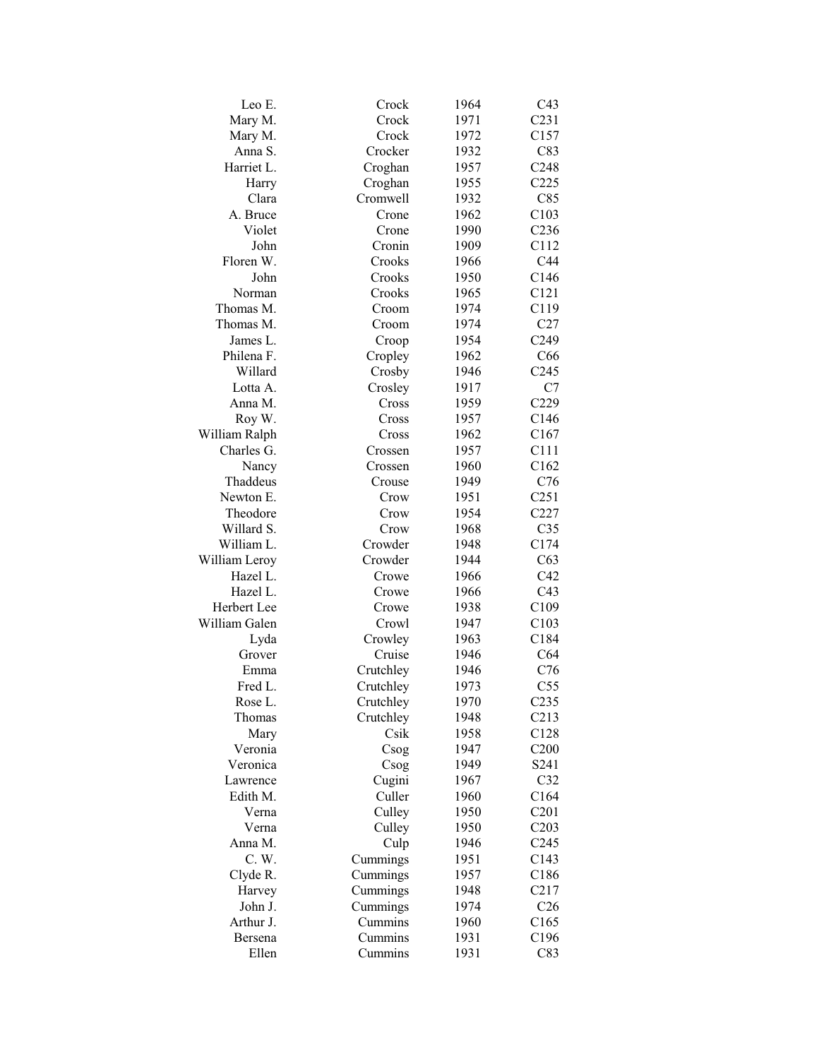| Leo E.        | Crock     | 1964 | C43              |
|---------------|-----------|------|------------------|
| Mary M.       | Crock     | 1971 | C <sub>231</sub> |
| Mary M.       | Crock     | 1972 | C157             |
| Anna S.       | Crocker   | 1932 | C83              |
| Harriet L.    | Croghan   | 1957 | C248             |
| Harry         | Croghan   | 1955 | C225             |
| Clara         | Cromwell  | 1932 | C85              |
| A. Bruce      | Crone     | 1962 | C103             |
| Violet        | Crone     | 1990 | C <sub>236</sub> |
| John          | Cronin    | 1909 | C112             |
| Floren W.     | Crooks    | 1966 | C44              |
| John          | Crooks    | 1950 | C146             |
| Norman        | Crooks    | 1965 | C121             |
| Thomas M.     | Croom     | 1974 | C119             |
| Thomas M.     | Croom     | 1974 | C27              |
| James L.      | Croop     | 1954 | C <sub>249</sub> |
| Philena F.    | Cropley   | 1962 | C66              |
| Willard       | Crosby    | 1946 | C <sub>245</sub> |
| Lotta A.      | Crosley   | 1917 | C7               |
| Anna M.       | Cross     | 1959 | C229             |
| Roy W.        | Cross     | 1957 | C146             |
| William Ralph | Cross     | 1962 | C167             |
| Charles G.    |           |      | C111             |
|               | Crossen   | 1957 | C162             |
| Nancy         | Crossen   | 1960 |                  |
| Thaddeus      | Crouse    | 1949 | C76              |
| Newton E.     | Crow      | 1951 | C <sub>251</sub> |
| Theodore      | Crow      | 1954 | C227             |
| Willard S.    | Crow      | 1968 | C <sub>35</sub>  |
| William L.    | Crowder   | 1948 | C174             |
| William Leroy | Crowder   | 1944 | C63              |
| Hazel L.      | Crowe     | 1966 | C42              |
| Hazel L.      | Crowe     | 1966 | C <sub>43</sub>  |
| Herbert Lee   | Crowe     | 1938 | C109             |
| William Galen | Crowl     | 1947 | C103             |
| Lyda          | Crowley   | 1963 | C184             |
| Grover        | Cruise    | 1946 | C64              |
| Emma          | Crutchley | 1946 | C76              |
| Fred L.       | Crutchley | 1973 | C55              |
| Rose L.       | Crutchley | 1970 | C <sub>235</sub> |
| Thomas        | Crutchley | 1948 | C213             |
| Mary          | Csik      | 1958 | C128             |
| Veronia       | Csog      | 1947 | C200             |
| Veronica      | Csog      | 1949 | S241             |
| Lawrence      | Cugini    | 1967 | C32              |
| Edith M.      | Culler    | 1960 | C164             |
| Verna         | Culley    | 1950 | C201             |
| Verna         | Culley    | 1950 | C203             |
| Anna M.       | Culp      | 1946 | C <sub>245</sub> |
| C.W.          | Cummings  | 1951 | C143             |
| Clyde R.      | Cummings  | 1957 | C186             |
| Harvey        | Cummings  | 1948 | C217             |
| John J.       | Cummings  | 1974 | C <sub>26</sub>  |
| Arthur J.     | Cummins   | 1960 | C165             |
| Bersena       | Cummins   | 1931 | C196             |
| Ellen         | Cummins   | 1931 | C83              |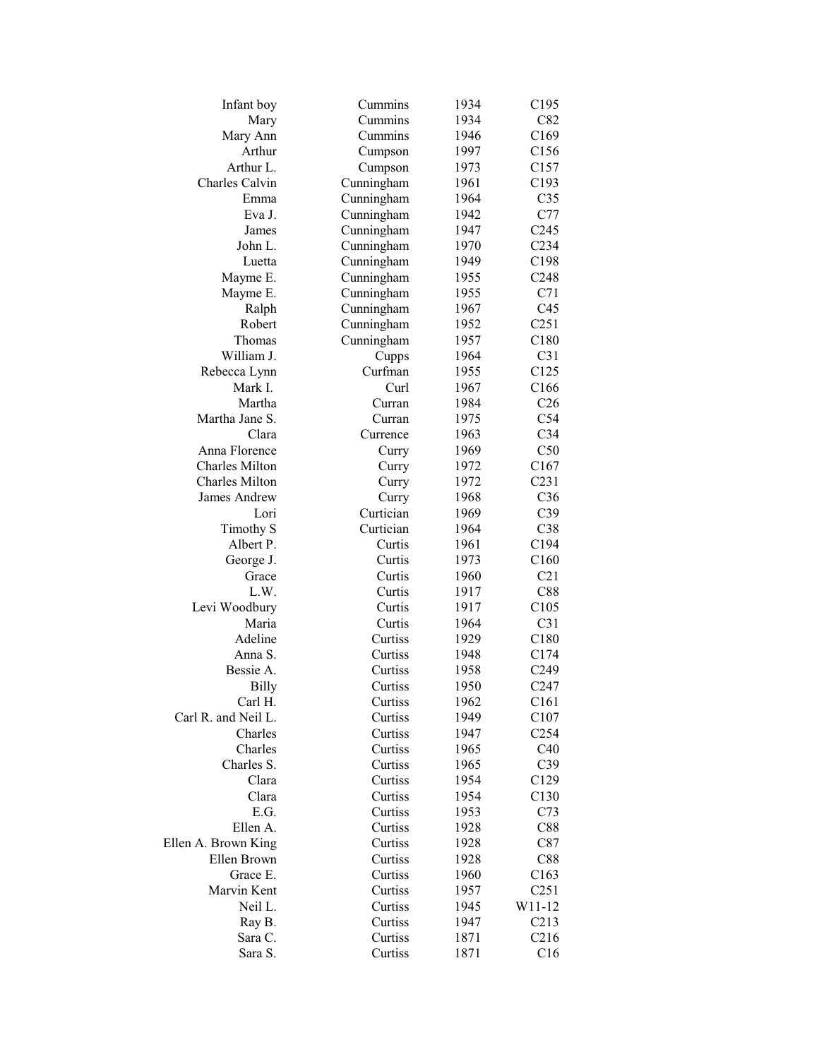| Cummins<br>C82<br>Mary<br>1934<br>Cummins<br>Mary Ann<br>1946<br>C <sub>169</sub><br>Arthur<br>1997<br>C156<br>Cumpson<br>Arthur L.<br>C157<br>Cumpson<br>1973<br>Charles Calvin<br>Cunningham<br>1961<br>C193<br>C <sub>35</sub><br>Emma<br>Cunningham<br>1964<br>C77<br>Eva J.<br>Cunningham<br>1942<br>1947<br>C <sub>245</sub><br>James<br>Cunningham<br>1970<br>John L.<br>Cunningham<br>C <sub>234</sub><br>Cunningham<br>C198<br>1949<br>Luetta<br>C <sub>248</sub><br>Mayme E.<br>Cunningham<br>1955<br>C71<br>Mayme E.<br>Cunningham<br>1955<br>Cunningham<br>C45<br>Ralph<br>1967<br>Robert<br>Cunningham<br>C <sub>251</sub><br>1952<br>C180<br>Thomas<br>Cunningham<br>1957<br>William J.<br>1964<br>C31<br>Cupps<br>Curfman<br>C125<br>Rebecca Lynn<br>1955<br>Mark I.<br>C166<br>Curl<br>1967<br>Martha<br>C <sub>26</sub><br>Curran<br>1984<br>Martha Jane S.<br>C54<br>Curran<br>1975<br>Clara<br>C <sub>34</sub><br>Currence<br>1963<br>C50<br>Anna Florence<br>1969<br>Curry<br><b>Charles Milton</b><br>1972<br>C167<br>Curry<br><b>Charles Milton</b><br>C <sub>231</sub><br>Curry<br>1972<br>C36<br>James Andrew<br>1968<br>Curry<br>Curtician<br>C39<br>Lori<br>1969<br>Curtician<br>C38<br><b>Timothy S</b><br>1964<br>Albert P.<br>C194<br>Curtis<br>1961<br>C160<br>George J.<br>Curtis<br>1973<br>C21<br>Curtis<br>1960<br>Grace<br>L.W.<br>Curtis<br>1917<br>C88<br>C105<br>Levi Woodbury<br>Curtis<br>1917<br>Maria<br>C31<br>Curtis<br>1964<br>Adeline<br>Curtiss<br>1929<br>C180<br>1948<br>Anna S.<br>Curtiss<br>C174<br>Bessie A.<br>Curtiss<br>1958<br>C <sub>249</sub><br><b>Billy</b><br>Curtiss<br>1950<br>C <sub>247</sub><br>Carl H.<br>C161<br>1962<br>Curtiss<br>C107<br>Carl R. and Neil L.<br>Curtiss<br>1949<br>C <sub>254</sub><br>Charles<br>Curtiss<br>1947<br>Charles<br>C40<br>Curtiss<br>1965<br>Charles S.<br>C39<br>Curtiss<br>1965<br>Clara<br>Curtiss<br>1954<br>C129<br>Clara<br>Curtiss<br>1954<br>C130<br>E.G.<br>Curtiss<br>1953<br>C73<br>Ellen A.<br>Curtiss<br>1928<br>C88<br>Curtiss<br>Ellen A. Brown King<br>1928<br>C87<br>Ellen Brown<br>Curtiss<br>1928<br>C88<br>Grace E.<br>Curtiss<br>1960<br>C163<br>Marvin Kent<br>Curtiss<br>1957<br>C <sub>251</sub><br>Neil L.<br>Curtiss<br>W11-12<br>1945<br>Ray B.<br>Curtiss<br>C213<br>1947<br>C216<br>Sara C.<br>Curtiss<br>1871 | Infant boy | Cummins | 1934 | C195 |
|--------------------------------------------------------------------------------------------------------------------------------------------------------------------------------------------------------------------------------------------------------------------------------------------------------------------------------------------------------------------------------------------------------------------------------------------------------------------------------------------------------------------------------------------------------------------------------------------------------------------------------------------------------------------------------------------------------------------------------------------------------------------------------------------------------------------------------------------------------------------------------------------------------------------------------------------------------------------------------------------------------------------------------------------------------------------------------------------------------------------------------------------------------------------------------------------------------------------------------------------------------------------------------------------------------------------------------------------------------------------------------------------------------------------------------------------------------------------------------------------------------------------------------------------------------------------------------------------------------------------------------------------------------------------------------------------------------------------------------------------------------------------------------------------------------------------------------------------------------------------------------------------------------------------------------------------------------------------------------------------------------------------------------------------------------------------------------------------------------------------------------------------------------------------------------------------------------------------------------------------------------------------------------------------------------------------------------------------------|------------|---------|------|------|
|                                                                                                                                                                                                                                                                                                                                                                                                                                                                                                                                                                                                                                                                                                                                                                                                                                                                                                                                                                                                                                                                                                                                                                                                                                                                                                                                                                                                                                                                                                                                                                                                                                                                                                                                                                                                                                                                                                                                                                                                                                                                                                                                                                                                                                                                                                                                                  |            |         |      |      |
|                                                                                                                                                                                                                                                                                                                                                                                                                                                                                                                                                                                                                                                                                                                                                                                                                                                                                                                                                                                                                                                                                                                                                                                                                                                                                                                                                                                                                                                                                                                                                                                                                                                                                                                                                                                                                                                                                                                                                                                                                                                                                                                                                                                                                                                                                                                                                  |            |         |      |      |
|                                                                                                                                                                                                                                                                                                                                                                                                                                                                                                                                                                                                                                                                                                                                                                                                                                                                                                                                                                                                                                                                                                                                                                                                                                                                                                                                                                                                                                                                                                                                                                                                                                                                                                                                                                                                                                                                                                                                                                                                                                                                                                                                                                                                                                                                                                                                                  |            |         |      |      |
|                                                                                                                                                                                                                                                                                                                                                                                                                                                                                                                                                                                                                                                                                                                                                                                                                                                                                                                                                                                                                                                                                                                                                                                                                                                                                                                                                                                                                                                                                                                                                                                                                                                                                                                                                                                                                                                                                                                                                                                                                                                                                                                                                                                                                                                                                                                                                  |            |         |      |      |
|                                                                                                                                                                                                                                                                                                                                                                                                                                                                                                                                                                                                                                                                                                                                                                                                                                                                                                                                                                                                                                                                                                                                                                                                                                                                                                                                                                                                                                                                                                                                                                                                                                                                                                                                                                                                                                                                                                                                                                                                                                                                                                                                                                                                                                                                                                                                                  |            |         |      |      |
|                                                                                                                                                                                                                                                                                                                                                                                                                                                                                                                                                                                                                                                                                                                                                                                                                                                                                                                                                                                                                                                                                                                                                                                                                                                                                                                                                                                                                                                                                                                                                                                                                                                                                                                                                                                                                                                                                                                                                                                                                                                                                                                                                                                                                                                                                                                                                  |            |         |      |      |
|                                                                                                                                                                                                                                                                                                                                                                                                                                                                                                                                                                                                                                                                                                                                                                                                                                                                                                                                                                                                                                                                                                                                                                                                                                                                                                                                                                                                                                                                                                                                                                                                                                                                                                                                                                                                                                                                                                                                                                                                                                                                                                                                                                                                                                                                                                                                                  |            |         |      |      |
|                                                                                                                                                                                                                                                                                                                                                                                                                                                                                                                                                                                                                                                                                                                                                                                                                                                                                                                                                                                                                                                                                                                                                                                                                                                                                                                                                                                                                                                                                                                                                                                                                                                                                                                                                                                                                                                                                                                                                                                                                                                                                                                                                                                                                                                                                                                                                  |            |         |      |      |
|                                                                                                                                                                                                                                                                                                                                                                                                                                                                                                                                                                                                                                                                                                                                                                                                                                                                                                                                                                                                                                                                                                                                                                                                                                                                                                                                                                                                                                                                                                                                                                                                                                                                                                                                                                                                                                                                                                                                                                                                                                                                                                                                                                                                                                                                                                                                                  |            |         |      |      |
|                                                                                                                                                                                                                                                                                                                                                                                                                                                                                                                                                                                                                                                                                                                                                                                                                                                                                                                                                                                                                                                                                                                                                                                                                                                                                                                                                                                                                                                                                                                                                                                                                                                                                                                                                                                                                                                                                                                                                                                                                                                                                                                                                                                                                                                                                                                                                  |            |         |      |      |
|                                                                                                                                                                                                                                                                                                                                                                                                                                                                                                                                                                                                                                                                                                                                                                                                                                                                                                                                                                                                                                                                                                                                                                                                                                                                                                                                                                                                                                                                                                                                                                                                                                                                                                                                                                                                                                                                                                                                                                                                                                                                                                                                                                                                                                                                                                                                                  |            |         |      |      |
|                                                                                                                                                                                                                                                                                                                                                                                                                                                                                                                                                                                                                                                                                                                                                                                                                                                                                                                                                                                                                                                                                                                                                                                                                                                                                                                                                                                                                                                                                                                                                                                                                                                                                                                                                                                                                                                                                                                                                                                                                                                                                                                                                                                                                                                                                                                                                  |            |         |      |      |
|                                                                                                                                                                                                                                                                                                                                                                                                                                                                                                                                                                                                                                                                                                                                                                                                                                                                                                                                                                                                                                                                                                                                                                                                                                                                                                                                                                                                                                                                                                                                                                                                                                                                                                                                                                                                                                                                                                                                                                                                                                                                                                                                                                                                                                                                                                                                                  |            |         |      |      |
|                                                                                                                                                                                                                                                                                                                                                                                                                                                                                                                                                                                                                                                                                                                                                                                                                                                                                                                                                                                                                                                                                                                                                                                                                                                                                                                                                                                                                                                                                                                                                                                                                                                                                                                                                                                                                                                                                                                                                                                                                                                                                                                                                                                                                                                                                                                                                  |            |         |      |      |
|                                                                                                                                                                                                                                                                                                                                                                                                                                                                                                                                                                                                                                                                                                                                                                                                                                                                                                                                                                                                                                                                                                                                                                                                                                                                                                                                                                                                                                                                                                                                                                                                                                                                                                                                                                                                                                                                                                                                                                                                                                                                                                                                                                                                                                                                                                                                                  |            |         |      |      |
|                                                                                                                                                                                                                                                                                                                                                                                                                                                                                                                                                                                                                                                                                                                                                                                                                                                                                                                                                                                                                                                                                                                                                                                                                                                                                                                                                                                                                                                                                                                                                                                                                                                                                                                                                                                                                                                                                                                                                                                                                                                                                                                                                                                                                                                                                                                                                  |            |         |      |      |
|                                                                                                                                                                                                                                                                                                                                                                                                                                                                                                                                                                                                                                                                                                                                                                                                                                                                                                                                                                                                                                                                                                                                                                                                                                                                                                                                                                                                                                                                                                                                                                                                                                                                                                                                                                                                                                                                                                                                                                                                                                                                                                                                                                                                                                                                                                                                                  |            |         |      |      |
|                                                                                                                                                                                                                                                                                                                                                                                                                                                                                                                                                                                                                                                                                                                                                                                                                                                                                                                                                                                                                                                                                                                                                                                                                                                                                                                                                                                                                                                                                                                                                                                                                                                                                                                                                                                                                                                                                                                                                                                                                                                                                                                                                                                                                                                                                                                                                  |            |         |      |      |
|                                                                                                                                                                                                                                                                                                                                                                                                                                                                                                                                                                                                                                                                                                                                                                                                                                                                                                                                                                                                                                                                                                                                                                                                                                                                                                                                                                                                                                                                                                                                                                                                                                                                                                                                                                                                                                                                                                                                                                                                                                                                                                                                                                                                                                                                                                                                                  |            |         |      |      |
|                                                                                                                                                                                                                                                                                                                                                                                                                                                                                                                                                                                                                                                                                                                                                                                                                                                                                                                                                                                                                                                                                                                                                                                                                                                                                                                                                                                                                                                                                                                                                                                                                                                                                                                                                                                                                                                                                                                                                                                                                                                                                                                                                                                                                                                                                                                                                  |            |         |      |      |
|                                                                                                                                                                                                                                                                                                                                                                                                                                                                                                                                                                                                                                                                                                                                                                                                                                                                                                                                                                                                                                                                                                                                                                                                                                                                                                                                                                                                                                                                                                                                                                                                                                                                                                                                                                                                                                                                                                                                                                                                                                                                                                                                                                                                                                                                                                                                                  |            |         |      |      |
|                                                                                                                                                                                                                                                                                                                                                                                                                                                                                                                                                                                                                                                                                                                                                                                                                                                                                                                                                                                                                                                                                                                                                                                                                                                                                                                                                                                                                                                                                                                                                                                                                                                                                                                                                                                                                                                                                                                                                                                                                                                                                                                                                                                                                                                                                                                                                  |            |         |      |      |
|                                                                                                                                                                                                                                                                                                                                                                                                                                                                                                                                                                                                                                                                                                                                                                                                                                                                                                                                                                                                                                                                                                                                                                                                                                                                                                                                                                                                                                                                                                                                                                                                                                                                                                                                                                                                                                                                                                                                                                                                                                                                                                                                                                                                                                                                                                                                                  |            |         |      |      |
|                                                                                                                                                                                                                                                                                                                                                                                                                                                                                                                                                                                                                                                                                                                                                                                                                                                                                                                                                                                                                                                                                                                                                                                                                                                                                                                                                                                                                                                                                                                                                                                                                                                                                                                                                                                                                                                                                                                                                                                                                                                                                                                                                                                                                                                                                                                                                  |            |         |      |      |
|                                                                                                                                                                                                                                                                                                                                                                                                                                                                                                                                                                                                                                                                                                                                                                                                                                                                                                                                                                                                                                                                                                                                                                                                                                                                                                                                                                                                                                                                                                                                                                                                                                                                                                                                                                                                                                                                                                                                                                                                                                                                                                                                                                                                                                                                                                                                                  |            |         |      |      |
|                                                                                                                                                                                                                                                                                                                                                                                                                                                                                                                                                                                                                                                                                                                                                                                                                                                                                                                                                                                                                                                                                                                                                                                                                                                                                                                                                                                                                                                                                                                                                                                                                                                                                                                                                                                                                                                                                                                                                                                                                                                                                                                                                                                                                                                                                                                                                  |            |         |      |      |
|                                                                                                                                                                                                                                                                                                                                                                                                                                                                                                                                                                                                                                                                                                                                                                                                                                                                                                                                                                                                                                                                                                                                                                                                                                                                                                                                                                                                                                                                                                                                                                                                                                                                                                                                                                                                                                                                                                                                                                                                                                                                                                                                                                                                                                                                                                                                                  |            |         |      |      |
|                                                                                                                                                                                                                                                                                                                                                                                                                                                                                                                                                                                                                                                                                                                                                                                                                                                                                                                                                                                                                                                                                                                                                                                                                                                                                                                                                                                                                                                                                                                                                                                                                                                                                                                                                                                                                                                                                                                                                                                                                                                                                                                                                                                                                                                                                                                                                  |            |         |      |      |
|                                                                                                                                                                                                                                                                                                                                                                                                                                                                                                                                                                                                                                                                                                                                                                                                                                                                                                                                                                                                                                                                                                                                                                                                                                                                                                                                                                                                                                                                                                                                                                                                                                                                                                                                                                                                                                                                                                                                                                                                                                                                                                                                                                                                                                                                                                                                                  |            |         |      |      |
|                                                                                                                                                                                                                                                                                                                                                                                                                                                                                                                                                                                                                                                                                                                                                                                                                                                                                                                                                                                                                                                                                                                                                                                                                                                                                                                                                                                                                                                                                                                                                                                                                                                                                                                                                                                                                                                                                                                                                                                                                                                                                                                                                                                                                                                                                                                                                  |            |         |      |      |
|                                                                                                                                                                                                                                                                                                                                                                                                                                                                                                                                                                                                                                                                                                                                                                                                                                                                                                                                                                                                                                                                                                                                                                                                                                                                                                                                                                                                                                                                                                                                                                                                                                                                                                                                                                                                                                                                                                                                                                                                                                                                                                                                                                                                                                                                                                                                                  |            |         |      |      |
|                                                                                                                                                                                                                                                                                                                                                                                                                                                                                                                                                                                                                                                                                                                                                                                                                                                                                                                                                                                                                                                                                                                                                                                                                                                                                                                                                                                                                                                                                                                                                                                                                                                                                                                                                                                                                                                                                                                                                                                                                                                                                                                                                                                                                                                                                                                                                  |            |         |      |      |
|                                                                                                                                                                                                                                                                                                                                                                                                                                                                                                                                                                                                                                                                                                                                                                                                                                                                                                                                                                                                                                                                                                                                                                                                                                                                                                                                                                                                                                                                                                                                                                                                                                                                                                                                                                                                                                                                                                                                                                                                                                                                                                                                                                                                                                                                                                                                                  |            |         |      |      |
|                                                                                                                                                                                                                                                                                                                                                                                                                                                                                                                                                                                                                                                                                                                                                                                                                                                                                                                                                                                                                                                                                                                                                                                                                                                                                                                                                                                                                                                                                                                                                                                                                                                                                                                                                                                                                                                                                                                                                                                                                                                                                                                                                                                                                                                                                                                                                  |            |         |      |      |
|                                                                                                                                                                                                                                                                                                                                                                                                                                                                                                                                                                                                                                                                                                                                                                                                                                                                                                                                                                                                                                                                                                                                                                                                                                                                                                                                                                                                                                                                                                                                                                                                                                                                                                                                                                                                                                                                                                                                                                                                                                                                                                                                                                                                                                                                                                                                                  |            |         |      |      |
|                                                                                                                                                                                                                                                                                                                                                                                                                                                                                                                                                                                                                                                                                                                                                                                                                                                                                                                                                                                                                                                                                                                                                                                                                                                                                                                                                                                                                                                                                                                                                                                                                                                                                                                                                                                                                                                                                                                                                                                                                                                                                                                                                                                                                                                                                                                                                  |            |         |      |      |
|                                                                                                                                                                                                                                                                                                                                                                                                                                                                                                                                                                                                                                                                                                                                                                                                                                                                                                                                                                                                                                                                                                                                                                                                                                                                                                                                                                                                                                                                                                                                                                                                                                                                                                                                                                                                                                                                                                                                                                                                                                                                                                                                                                                                                                                                                                                                                  |            |         |      |      |
|                                                                                                                                                                                                                                                                                                                                                                                                                                                                                                                                                                                                                                                                                                                                                                                                                                                                                                                                                                                                                                                                                                                                                                                                                                                                                                                                                                                                                                                                                                                                                                                                                                                                                                                                                                                                                                                                                                                                                                                                                                                                                                                                                                                                                                                                                                                                                  |            |         |      |      |
|                                                                                                                                                                                                                                                                                                                                                                                                                                                                                                                                                                                                                                                                                                                                                                                                                                                                                                                                                                                                                                                                                                                                                                                                                                                                                                                                                                                                                                                                                                                                                                                                                                                                                                                                                                                                                                                                                                                                                                                                                                                                                                                                                                                                                                                                                                                                                  |            |         |      |      |
|                                                                                                                                                                                                                                                                                                                                                                                                                                                                                                                                                                                                                                                                                                                                                                                                                                                                                                                                                                                                                                                                                                                                                                                                                                                                                                                                                                                                                                                                                                                                                                                                                                                                                                                                                                                                                                                                                                                                                                                                                                                                                                                                                                                                                                                                                                                                                  |            |         |      |      |
|                                                                                                                                                                                                                                                                                                                                                                                                                                                                                                                                                                                                                                                                                                                                                                                                                                                                                                                                                                                                                                                                                                                                                                                                                                                                                                                                                                                                                                                                                                                                                                                                                                                                                                                                                                                                                                                                                                                                                                                                                                                                                                                                                                                                                                                                                                                                                  |            |         |      |      |
|                                                                                                                                                                                                                                                                                                                                                                                                                                                                                                                                                                                                                                                                                                                                                                                                                                                                                                                                                                                                                                                                                                                                                                                                                                                                                                                                                                                                                                                                                                                                                                                                                                                                                                                                                                                                                                                                                                                                                                                                                                                                                                                                                                                                                                                                                                                                                  |            |         |      |      |
|                                                                                                                                                                                                                                                                                                                                                                                                                                                                                                                                                                                                                                                                                                                                                                                                                                                                                                                                                                                                                                                                                                                                                                                                                                                                                                                                                                                                                                                                                                                                                                                                                                                                                                                                                                                                                                                                                                                                                                                                                                                                                                                                                                                                                                                                                                                                                  |            |         |      |      |
|                                                                                                                                                                                                                                                                                                                                                                                                                                                                                                                                                                                                                                                                                                                                                                                                                                                                                                                                                                                                                                                                                                                                                                                                                                                                                                                                                                                                                                                                                                                                                                                                                                                                                                                                                                                                                                                                                                                                                                                                                                                                                                                                                                                                                                                                                                                                                  |            |         |      |      |
|                                                                                                                                                                                                                                                                                                                                                                                                                                                                                                                                                                                                                                                                                                                                                                                                                                                                                                                                                                                                                                                                                                                                                                                                                                                                                                                                                                                                                                                                                                                                                                                                                                                                                                                                                                                                                                                                                                                                                                                                                                                                                                                                                                                                                                                                                                                                                  |            |         |      |      |
|                                                                                                                                                                                                                                                                                                                                                                                                                                                                                                                                                                                                                                                                                                                                                                                                                                                                                                                                                                                                                                                                                                                                                                                                                                                                                                                                                                                                                                                                                                                                                                                                                                                                                                                                                                                                                                                                                                                                                                                                                                                                                                                                                                                                                                                                                                                                                  |            |         |      |      |
|                                                                                                                                                                                                                                                                                                                                                                                                                                                                                                                                                                                                                                                                                                                                                                                                                                                                                                                                                                                                                                                                                                                                                                                                                                                                                                                                                                                                                                                                                                                                                                                                                                                                                                                                                                                                                                                                                                                                                                                                                                                                                                                                                                                                                                                                                                                                                  |            |         |      |      |
|                                                                                                                                                                                                                                                                                                                                                                                                                                                                                                                                                                                                                                                                                                                                                                                                                                                                                                                                                                                                                                                                                                                                                                                                                                                                                                                                                                                                                                                                                                                                                                                                                                                                                                                                                                                                                                                                                                                                                                                                                                                                                                                                                                                                                                                                                                                                                  |            |         |      |      |
|                                                                                                                                                                                                                                                                                                                                                                                                                                                                                                                                                                                                                                                                                                                                                                                                                                                                                                                                                                                                                                                                                                                                                                                                                                                                                                                                                                                                                                                                                                                                                                                                                                                                                                                                                                                                                                                                                                                                                                                                                                                                                                                                                                                                                                                                                                                                                  |            |         |      |      |
|                                                                                                                                                                                                                                                                                                                                                                                                                                                                                                                                                                                                                                                                                                                                                                                                                                                                                                                                                                                                                                                                                                                                                                                                                                                                                                                                                                                                                                                                                                                                                                                                                                                                                                                                                                                                                                                                                                                                                                                                                                                                                                                                                                                                                                                                                                                                                  |            |         |      |      |
|                                                                                                                                                                                                                                                                                                                                                                                                                                                                                                                                                                                                                                                                                                                                                                                                                                                                                                                                                                                                                                                                                                                                                                                                                                                                                                                                                                                                                                                                                                                                                                                                                                                                                                                                                                                                                                                                                                                                                                                                                                                                                                                                                                                                                                                                                                                                                  |            |         |      |      |
|                                                                                                                                                                                                                                                                                                                                                                                                                                                                                                                                                                                                                                                                                                                                                                                                                                                                                                                                                                                                                                                                                                                                                                                                                                                                                                                                                                                                                                                                                                                                                                                                                                                                                                                                                                                                                                                                                                                                                                                                                                                                                                                                                                                                                                                                                                                                                  |            |         |      |      |
|                                                                                                                                                                                                                                                                                                                                                                                                                                                                                                                                                                                                                                                                                                                                                                                                                                                                                                                                                                                                                                                                                                                                                                                                                                                                                                                                                                                                                                                                                                                                                                                                                                                                                                                                                                                                                                                                                                                                                                                                                                                                                                                                                                                                                                                                                                                                                  |            |         |      |      |
|                                                                                                                                                                                                                                                                                                                                                                                                                                                                                                                                                                                                                                                                                                                                                                                                                                                                                                                                                                                                                                                                                                                                                                                                                                                                                                                                                                                                                                                                                                                                                                                                                                                                                                                                                                                                                                                                                                                                                                                                                                                                                                                                                                                                                                                                                                                                                  |            |         |      |      |
|                                                                                                                                                                                                                                                                                                                                                                                                                                                                                                                                                                                                                                                                                                                                                                                                                                                                                                                                                                                                                                                                                                                                                                                                                                                                                                                                                                                                                                                                                                                                                                                                                                                                                                                                                                                                                                                                                                                                                                                                                                                                                                                                                                                                                                                                                                                                                  | Sara S.    | Curtiss | 1871 | C16  |